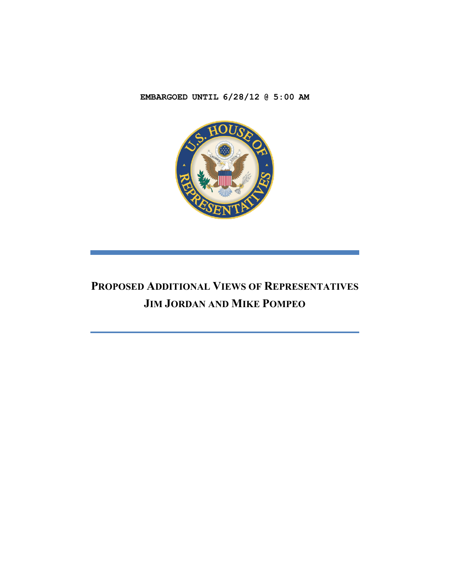**EMBARGOED UNTIL 6/28/12 @ 5:00 AM**



# **PROPOSED ADDITIONAL VIEWS OF REPRESENTATIVES JIM JORDAN AND MIKE POMPEO**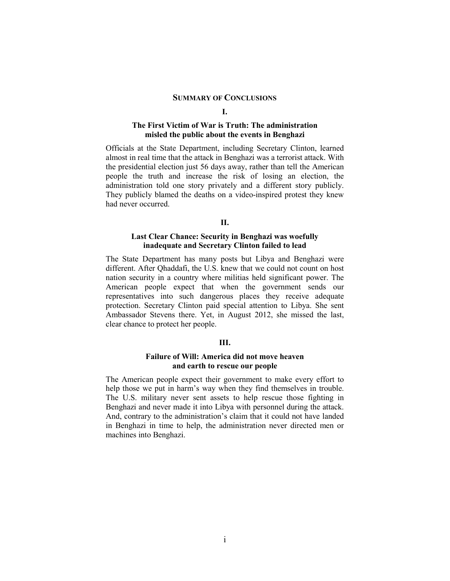### **SUMMARY OF CONCLUSIONS**

#### **I.**

# **The First Victim of War is Truth: The administration misled the public about the events in Benghazi**

Officials at the State Department, including Secretary Clinton, learned almost in real time that the attack in Benghazi was a terrorist attack. With the presidential election just 56 days away, rather than tell the American people the truth and increase the risk of losing an election, the administration told one story privately and a different story publicly. They publicly blamed the deaths on a video-inspired protest they knew had never occurred.

### **II.**

# **Last Clear Chance: Security in Benghazi was woefully inadequate and Secretary Clinton failed to lead**

The State Department has many posts but Libya and Benghazi were different. After Qhaddafi, the U.S. knew that we could not count on host nation security in a country where militias held significant power. The American people expect that when the government sends our representatives into such dangerous places they receive adequate protection. Secretary Clinton paid special attention to Libya. She sent Ambassador Stevens there. Yet, in August 2012, she missed the last, clear chance to protect her people.

# **III.**

### **Failure of Will: America did not move heaven and earth to rescue our people**

The American people expect their government to make every effort to help those we put in harm's way when they find themselves in trouble. The U.S. military never sent assets to help rescue those fighting in Benghazi and never made it into Libya with personnel during the attack. And, contrary to the administration's claim that it could not have landed in Benghazi in time to help, the administration never directed men or machines into Benghazi.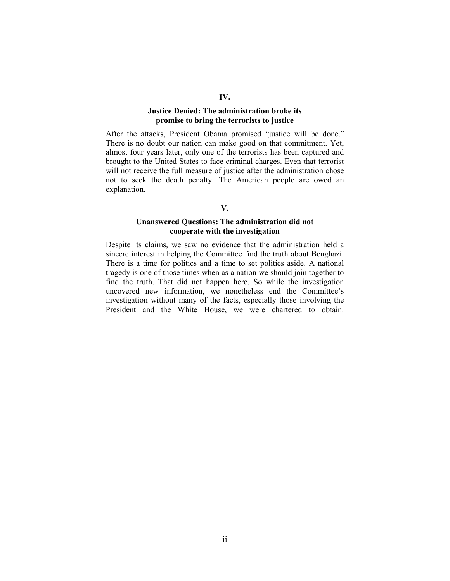# **IV.**

# **Justice Denied: The administration broke its promise to bring the terrorists to justice**

After the attacks, President Obama promised "justice will be done." There is no doubt our nation can make good on that commitment. Yet, almost four years later, only one of the terrorists has been captured and brought to the United States to face criminal charges. Even that terrorist will not receive the full measure of justice after the administration chose not to seek the death penalty. The American people are owed an explanation.

#### **V.**

# **Unanswered Questions: The administration did not cooperate with the investigation**

Despite its claims, we saw no evidence that the administration held a sincere interest in helping the Committee find the truth about Benghazi. There is a time for politics and a time to set politics aside. A national tragedy is one of those times when as a nation we should join together to find the truth. That did not happen here. So while the investigation uncovered new information, we nonetheless end the Committee's investigation without many of the facts, especially those involving the President and the White House, we were chartered to obtain.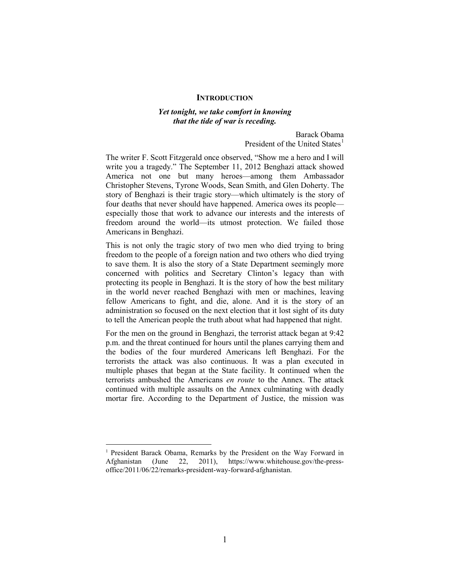#### **INTRODUCTION**

### *Yet tonight, we take comfort in knowing that the tide of war is receding.*

Barack Obama President of the United States<sup>[1](#page-3-0)</sup>

The writer F. Scott Fitzgerald once observed, "Show me a hero and I will write you a tragedy." The September 11, 2012 Benghazi attack showed America not one but many heroes—among them Ambassador Christopher Stevens, Tyrone Woods, Sean Smith, and Glen Doherty. The story of Benghazi is their tragic story—which ultimately is the story of four deaths that never should have happened. America owes its people especially those that work to advance our interests and the interests of freedom around the world—its utmost protection. We failed those Americans in Benghazi.

This is not only the tragic story of two men who died trying to bring freedom to the people of a foreign nation and two others who died trying to save them. It is also the story of a State Department seemingly more concerned with politics and Secretary Clinton's legacy than with protecting its people in Benghazi. It is the story of how the best military in the world never reached Benghazi with men or machines, leaving fellow Americans to fight, and die, alone. And it is the story of an administration so focused on the next election that it lost sight of its duty to tell the American people the truth about what had happened that night.

For the men on the ground in Benghazi, the terrorist attack began at 9:42 p.m. and the threat continued for hours until the planes carrying them and the bodies of the four murdered Americans left Benghazi. For the terrorists the attack was also continuous. It was a plan executed in multiple phases that began at the State facility. It continued when the terrorists ambushed the Americans *en route* to the Annex. The attack continued with multiple assaults on the Annex culminating with deadly mortar fire. According to the Department of Justice, the mission was

<span id="page-3-0"></span><sup>&</sup>lt;sup>1</sup> President Barack Obama, Remarks by the President on the Way Forward in Afghanistan (June 22, 2011), https://www.whitehouse.gov/the-pressoffice/2011/06/22/remarks-president-way-forward-afghanistan.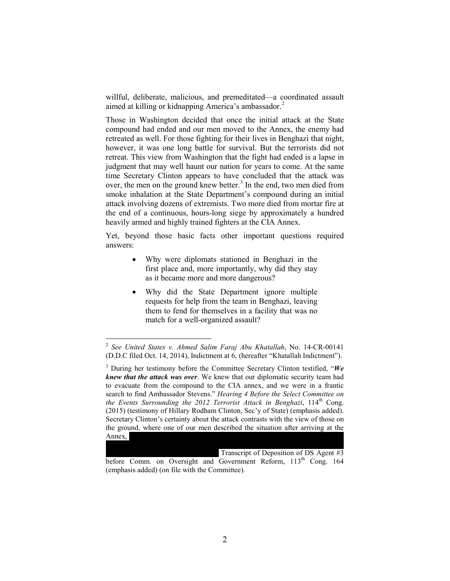willful, deliberate, malicious, and premeditated—a coordinated assault aimed at killing or kidnapping America's ambassador. [2](#page-4-0)

Those in Washington decided that once the initial attack at the State compound had ended and our men moved to the Annex, the enemy had retreated as well. For those fighting for their lives in Benghazi that night, however, it was one long battle for survival. But the terrorists did not retreat. This view from Washington that the fight had ended is a lapse in judgment that may well haunt our nation for years to come. At the same time Secretary Clinton appears to have concluded that the attack was over, the men on the ground knew better. $3 \text{ In the end, two men died from}$  $3 \text{ In the end, two men died from}$ smoke inhalation at the State Department's compound during an initial attack involving dozens of extremists. Two more died from mortar fire at the end of a continuous, hours-long siege by approximately a hundred heavily armed and highly trained fighters at the CIA Annex.

Yet, beyond those basic facts other important questions required answers:

- Why were diplomats stationed in Benghazi in the first place and, more importantly, why did they stay as it became more and more dangerous?
- Why did the State Department ignore multiple requests for help from the team in Benghazi, leaving them to fend for themselves in a facility that was no match for a well-organized assault?

don't know what it is at this point. We are not sure. *We don't know if the fight If it is a irrelated Transcript of Deposition of DS Agent #3* before Comm. on Oversight and Government Reform, 113<sup>th</sup> Cong. 164 (emphasis added) (on file with the Committee).

<span id="page-4-0"></span> <sup>2</sup> *See United States v. Ahmed Salim Faraj Abu Khatallah*, No. 14-CR-00141 (D.D.C filed Oct. 14, 2014), Indictment at 6, (hereafter "Khatallah Indictment").

<span id="page-4-1"></span><sup>3</sup> During her testimony before the Committee Secretary Clinton testified, "*We knew that the attack was over*. We knew that our diplomatic security team had to evacuate from the compound to the CIA annex, and we were in a frantic search to find Ambassador Stevens." *Hearing 4 Before the Select Committee on the Events Surrounding the 2012 Terrorist Attack in Benghazi*, 114<sup>th</sup> Cong. (2015) (testimony of Hillary Rodham Clinton, Sec'y of State) (emphasis added). Secretary Clinton's certainty about the attack contrasts with the view of those on the ground, where one of our men described the situation after arriving at the Annex,  $\mathbf{p}$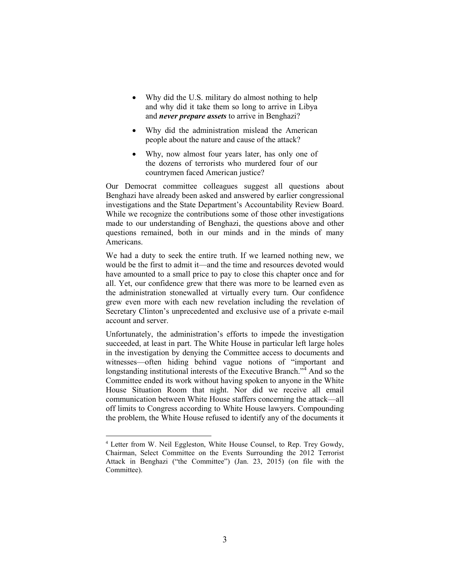- Why did the U.S. military do almost nothing to help and why did it take them so long to arrive in Libya and *never prepare assets* to arrive in Benghazi?
- Why did the administration mislead the American people about the nature and cause of the attack?
- Why, now almost four years later, has only one of the dozens of terrorists who murdered four of our countrymen faced American justice?

Our Democrat committee colleagues suggest all questions about Benghazi have already been asked and answered by earlier congressional investigations and the State Department's Accountability Review Board. While we recognize the contributions some of those other investigations made to our understanding of Benghazi, the questions above and other questions remained, both in our minds and in the minds of many Americans.

We had a duty to seek the entire truth. If we learned nothing new, we would be the first to admit it—and the time and resources devoted would have amounted to a small price to pay to close this chapter once and for all. Yet, our confidence grew that there was more to be learned even as the administration stonewalled at virtually every turn. Our confidence grew even more with each new revelation including the revelation of Secretary Clinton's unprecedented and exclusive use of a private e-mail account and server.

Unfortunately, the administration's efforts to impede the investigation succeeded, at least in part. The White House in particular left large holes in the investigation by denying the Committee access to documents and witnesses—often hiding behind vague notions of "important and longstanding institutional interests of the Executive Branch.<sup> $n<sup>4</sup>$  $n<sup>4</sup>$  $n<sup>4</sup>$ </sup> And so the Committee ended its work without having spoken to anyone in the White House Situation Room that night. Nor did we receive all email communication between White House staffers concerning the attack—all off limits to Congress according to White House lawyers. Compounding the problem, the White House refused to identify any of the documents it

<span id="page-5-0"></span><sup>&</sup>lt;sup>4</sup> Letter from W. Neil Eggleston, White House Counsel, to Rep. Trey Gowdy, Chairman, Select Committee on the Events Surrounding the 2012 Terrorist Attack in Benghazi ("the Committee") (Jan. 23, 2015) (on file with the Committee).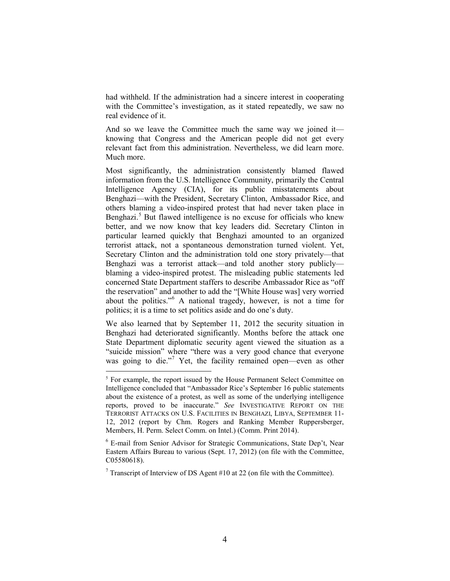had withheld. If the administration had a sincere interest in cooperating with the Committee's investigation, as it stated repeatedly, we saw no real evidence of it.

And so we leave the Committee much the same way we joined it knowing that Congress and the American people did not get every relevant fact from this administration. Nevertheless, we did learn more. Much more.

Most significantly, the administration consistently blamed flawed information from the U.S. Intelligence Community, primarily the Central Intelligence Agency (CIA), for its public misstatements about Benghazi—with the President, Secretary Clinton, Ambassador Rice, and others blaming a video-inspired protest that had never taken place in Benghazi.<sup>[5](#page-6-0)</sup> But flawed intelligence is no excuse for officials who knew better, and we now know that key leaders did. Secretary Clinton in particular learned quickly that Benghazi amounted to an organized terrorist attack, not a spontaneous demonstration turned violent. Yet, Secretary Clinton and the administration told one story privately—that Benghazi was a terrorist attack—and told another story publicly blaming a video-inspired protest. The misleading public statements led concerned State Department staffers to describe Ambassador Rice as "off the reservation" and another to add the "[White House was] very worried about the politics."[6](#page-6-1) A national tragedy, however, is not a time for politics; it is a time to set politics aside and do one's duty.

We also learned that by September 11, 2012 the security situation in Benghazi had deteriorated significantly. Months before the attack one State Department diplomatic security agent viewed the situation as a "suicide mission" where "there was a very good chance that everyone was going to die."<sup>[7](#page-6-2)</sup> Yet, the facility remained open—even as other

<span id="page-6-0"></span><sup>&</sup>lt;sup>5</sup> For example, the report issued by the House Permanent Select Committee on Intelligence concluded that "Ambassador Rice's September 16 public statements about the existence of a protest, as well as some of the underlying intelligence reports, proved to be inaccurate." *See* INVESTIGATIVE REPORT ON THE TERRORIST ATTACKS ON U.S. FACILITIES IN BENGHAZI, LIBYA, SEPTEMBER 11- 12, 2012 (report by Chm. Rogers and Ranking Member Ruppersberger, Members, H. Perm. Select Comm. on Intel.) (Comm. Print 2014).

<span id="page-6-1"></span><sup>6</sup> E-mail from Senior Advisor for Strategic Communications, State Dep't, Near Eastern Affairs Bureau to various (Sept. 17, 2012) (on file with the Committee, C05580618).

<span id="page-6-2"></span><sup>&</sup>lt;sup>7</sup> Transcript of Interview of DS Agent #10 at 22 (on file with the Committee).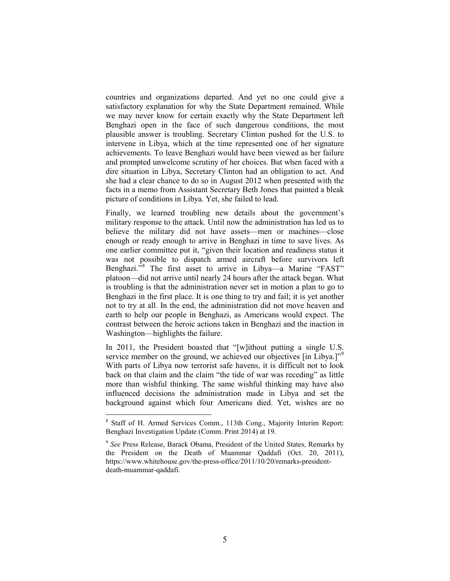countries and organizations departed. And yet no one could give a satisfactory explanation for why the State Department remained. While we may never know for certain exactly why the State Department left Benghazi open in the face of such dangerous conditions, the most plausible answer is troubling. Secretary Clinton pushed for the U.S. to intervene in Libya, which at the time represented one of her signature achievements. To leave Benghazi would have been viewed as her failure and prompted unwelcome scrutiny of her choices. But when faced with a dire situation in Libya, Secretary Clinton had an obligation to act. And she had a clear chance to do so in August 2012 when presented with the facts in a memo from Assistant Secretary Beth Jones that painted a bleak picture of conditions in Libya. Yet, she failed to lead.

Finally, we learned troubling new details about the government's military response to the attack. Until now the administration has led us to believe the military did not have assets—men or machines—close enough or ready enough to arrive in Benghazi in time to save lives. As one earlier committee put it, "given their location and readiness status it was not possible to dispatch armed aircraft before survivors left Benghazi.<sup>7[8](#page-7-0)</sup> The first asset to arrive in Libya—a Marine "FAST" platoon—did not arrive until nearly 24 hours after the attack began. What is troubling is that the administration never set in motion a plan to go to Benghazi in the first place. It is one thing to try and fail; it is yet another not to try at all. In the end, the administration did not move heaven and earth to help our people in Benghazi, as Americans would expect. The contrast between the heroic actions taken in Benghazi and the inaction in Washington—highlights the failure.

In 2011, the President boasted that "[w]ithout putting a single U.S. service member on the ground, we achieved our objectives [in Libya.]"<sup>[9](#page-7-1)</sup> With parts of Libya now terrorist safe havens, it is difficult not to look back on that claim and the claim "the tide of war was receding" as little more than wishful thinking. The same wishful thinking may have also influenced decisions the administration made in Libya and set the background against which four Americans died. Yet, wishes are no

<span id="page-7-0"></span> <sup>8</sup> Staff of H. Armed Services Comm., 113th Cong., Majority Interim Report: Benghazi Investigation Update (Comm. Print 2014) at 19.

<span id="page-7-1"></span><sup>9</sup> *See* Press Release, Barack Obama, President of the United States, Remarks by the President on the Death of Muammar Qaddafi (Oct. 20, 2011), https://www.whitehouse.gov/the-press-office/2011/10/20/remarks-presidentdeath-muammar-qaddafi.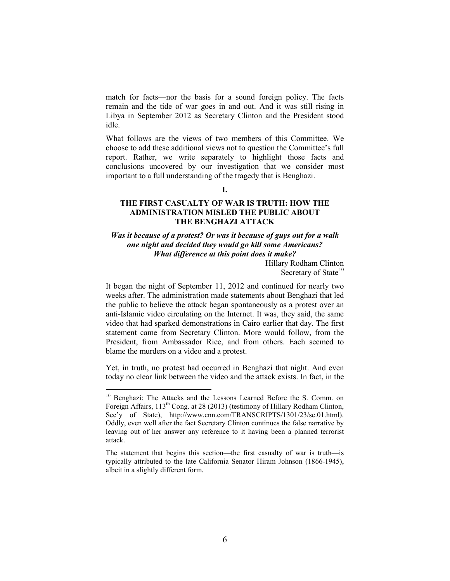match for facts—nor the basis for a sound foreign policy. The facts remain and the tide of war goes in and out. And it was still rising in Libya in September 2012 as Secretary Clinton and the President stood idle.

What follows are the views of two members of this Committee. We choose to add these additional views not to question the Committee's full report. Rather, we write separately to highlight those facts and conclusions uncovered by our investigation that we consider most important to a full understanding of the tragedy that is Benghazi.

# **I.**

# **THE FIRST CASUALTY OF WAR IS TRUTH: HOW THE ADMINISTRATION MISLED THE PUBLIC ABOUT THE BENGHAZI ATTACK**

# *Was it because of a protest? Or was it because of guys out for a walk one night and decided they would go kill some Americans? What difference at this point does it make?*

Hillary Rodham Clinton Secretary of State $10$ 

It began the night of September 11, 2012 and continued for nearly two weeks after. The administration made statements about Benghazi that led the public to believe the attack began spontaneously as a protest over an anti-Islamic video circulating on the Internet. It was, they said, the same video that had sparked demonstrations in Cairo earlier that day. The first statement came from Secretary Clinton. More would follow, from the President, from Ambassador Rice, and from others. Each seemed to blame the murders on a video and a protest.

Yet, in truth, no protest had occurred in Benghazi that night. And even today no clear link between the video and the attack exists. In fact, in the

<span id="page-8-0"></span><sup>&</sup>lt;sup>10</sup> Benghazi: The Attacks and the Lessons Learned Before the S. Comm. on Foreign Affairs,  $113^{th}$  Cong. at 28 (2013) (testimony of Hillary Rodham Clinton, Sec'y of State), http://www.cnn.com/TRANSCRIPTS/1301/23/se.01.html). Oddly, even well after the fact Secretary Clinton continues the false narrative by leaving out of her answer any reference to it having been a planned terrorist attack.

The statement that begins this section—the first casualty of war is truth—is typically attributed to the late California Senator Hiram Johnson (1866-1945), albeit in a slightly different form.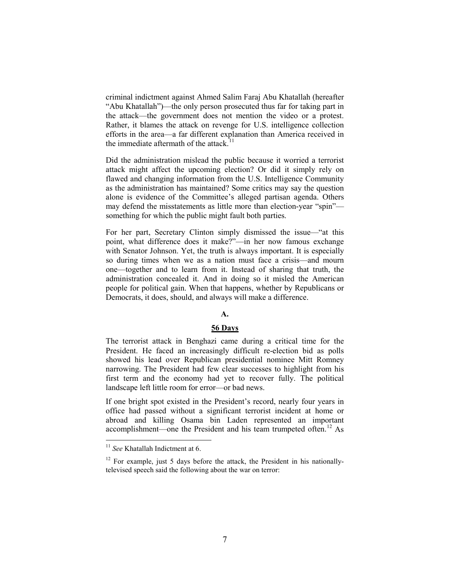criminal indictment against Ahmed Salim Faraj Abu Khatallah (hereafter "Abu Khatallah")—the only person prosecuted thus far for taking part in the attack—the government does not mention the video or a protest. Rather, it blames the attack on revenge for U.S. intelligence collection efforts in the area—a far different explanation than America received in the immediate aftermath of the attack.<sup>[11](#page-9-0)</sup>

Did the administration mislead the public because it worried a terrorist attack might affect the upcoming election? Or did it simply rely on flawed and changing information from the U.S. Intelligence Community as the administration has maintained? Some critics may say the question alone is evidence of the Committee's alleged partisan agenda. Others may defend the misstatements as little more than election-year "spin" something for which the public might fault both parties.

For her part, Secretary Clinton simply dismissed the issue—"at this point, what difference does it make?"—in her now famous exchange with Senator Johnson. Yet, the truth is always important. It is especially so during times when we as a nation must face a crisis—and mourn one—together and to learn from it. Instead of sharing that truth, the administration concealed it. And in doing so it misled the American people for political gain. When that happens, whether by Republicans or Democrats, it does, should, and always will make a difference.

### **A.**

### **56 Days**

The terrorist attack in Benghazi came during a critical time for the President. He faced an increasingly difficult re-election bid as polls showed his lead over Republican presidential nominee Mitt Romney narrowing. The President had few clear successes to highlight from his first term and the economy had yet to recover fully. The political landscape left little room for error—or bad news.

If one bright spot existed in the President's record, nearly four years in office had passed without a significant terrorist incident at home or abroad and killing Osama bin Laden represented an important accomplishment—one the President and his team trumpeted often.<sup>[12](#page-9-1)</sup> As

<span id="page-9-0"></span><sup>&</sup>lt;sup>11</sup> See Khatallah Indictment at 6.

<span id="page-9-1"></span> $12$  For example, just 5 days before the attack, the President in his nationallytelevised speech said the following about the war on terror: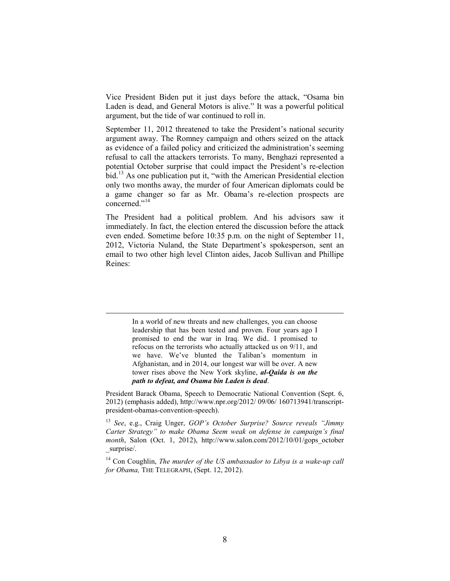Vice President Biden put it just days before the attack, "Osama bin Laden is dead, and General Motors is alive." It was a powerful political argument, but the tide of war continued to roll in.

September 11, 2012 threatened to take the President's national security argument away. The Romney campaign and others seized on the attack as evidence of a failed policy and criticized the administration's seeming refusal to call the attackers terrorists. To many, Benghazi represented a potential October surprise that could impact the President's re-election bid. [13](#page-10-0) As one publication put it, "with the American Presidential election only two months away, the murder of four American diplomats could be a game changer so far as Mr. Obama's re-election prospects are concerned."[14](#page-10-1)

The President had a political problem. And his advisors saw it immediately. In fact, the election entered the discussion before the attack even ended. Sometime before 10:35 p.m. on the night of September 11, 2012, Victoria Nuland, the State Department's spokesperson, sent an email to two other high level Clinton aides, Jacob Sullivan and Phillipe Reines:

> In a world of new threats and new challenges, you can choose leadership that has been tested and proven. Four years ago I promised to end the war in Iraq. We did.*.* I promised to refocus on the terrorists who actually attacked us on 9/11, and we have. We've blunted the Taliban's momentum in Afghanistan, and in 2014, our longest war will be over. A new tower rises above the New York skyline, *al-Qaida is on the path to defeat, and Osama bin Laden is dead*.

President Barack Obama, Speech to Democratic National Convention (Sept. 6, 2012) (emphasis added), http://www.npr.org/2012/ 09/06/ 160713941/transcriptpresident-obamas-convention-speech).

<span id="page-10-0"></span><sup>13</sup> *See*, e.g., Craig Unger, *GOP's October Surprise? Source reveals "Jimmy Carter Strategy" to make Obama Seem weak on defense in campaign's final month*, Salon (Oct. 1, 2012), http://www.salon.com/2012/10/01/gops\_october \_surprise/.

<span id="page-10-1"></span><sup>14</sup> Con Coughlin, *The murder of the US ambassador to Libya is a wake-up call for Obama,* THE TELEGRAPH, (Sept. 12, 2012).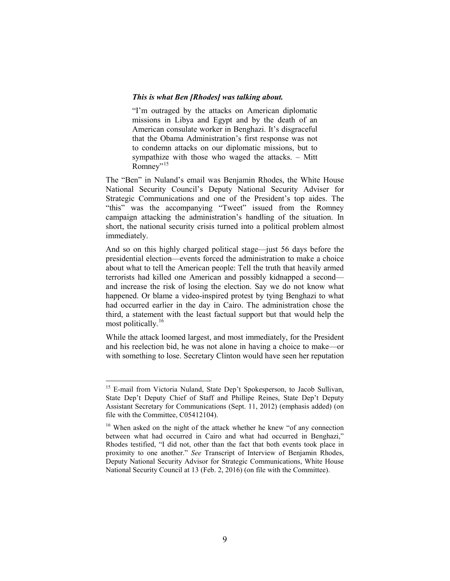#### *This is what Ben [Rhodes] was talking about.*

"I'm outraged by the attacks on American diplomatic missions in Libya and Egypt and by the death of an American consulate worker in Benghazi. It's disgraceful that the Obama Administration's first response was not to condemn attacks on our diplomatic missions, but to sympathize with those who waged the attacks. – Mitt Romney"<sup>[15](#page-11-0)</sup>

The "Ben" in Nuland's email was Benjamin Rhodes, the White House National Security Council's Deputy National Security Adviser for Strategic Communications and one of the President's top aides. The "this" was the accompanying "Tweet" issued from the Romney campaign attacking the administration's handling of the situation. In short, the national security crisis turned into a political problem almost immediately.

And so on this highly charged political stage—just 56 days before the presidential election—events forced the administration to make a choice about what to tell the American people: Tell the truth that heavily armed terrorists had killed one American and possibly kidnapped a second and increase the risk of losing the election. Say we do not know what happened. Or blame a video-inspired protest by tying Benghazi to what had occurred earlier in the day in Cairo. The administration chose the third, a statement with the least factual support but that would help the most politically.<sup>[16](#page-11-1)</sup>

While the attack loomed largest, and most immediately, for the President and his reelection bid, he was not alone in having a choice to make—or with something to lose. Secretary Clinton would have seen her reputation

<span id="page-11-0"></span><sup>&</sup>lt;sup>15</sup> E-mail from Victoria Nuland, State Dep't Spokesperson, to Jacob Sullivan, State Dep't Deputy Chief of Staff and Phillipe Reines, State Dep't Deputy Assistant Secretary for Communications (Sept. 11, 2012) (emphasis added) (on file with the Committee, C05412104).

<span id="page-11-1"></span><sup>&</sup>lt;sup>16</sup> When asked on the night of the attack whether he knew "of any connection between what had occurred in Cairo and what had occurred in Benghazi," Rhodes testified, "I did not, other than the fact that both events took place in proximity to one another." *See* Transcript of Interview of Benjamin Rhodes, Deputy National Security Advisor for Strategic Communications, White House National Security Council at 13 (Feb. 2, 2016) (on file with the Committee).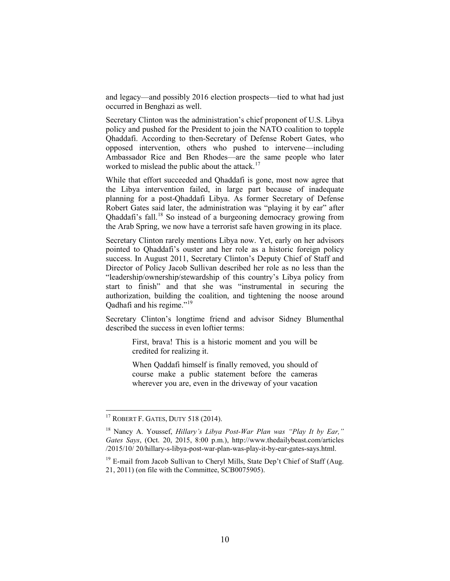and legacy—and possibly 2016 election prospects—tied to what had just occurred in Benghazi as well.

Secretary Clinton was the administration's chief proponent of U.S. Libya policy and pushed for the President to join the NATO coalition to topple Qhaddafi. According to then-Secretary of Defense Robert Gates, who opposed intervention, others who pushed to intervene—including Ambassador Rice and Ben Rhodes—are the same people who later worked to mislead the public about the attack.<sup>[17](#page-12-0)</sup>

While that effort succeeded and Qhaddafi is gone, most now agree that the Libya intervention failed, in large part because of inadequate planning for a post-Qhaddafi Libya. As former Secretary of Defense Robert Gates said later, the administration was "playing it by ear" after Qhaddafi's fall.[18](#page-12-1) So instead of a burgeoning democracy growing from the Arab Spring, we now have a terrorist safe haven growing in its place.

Secretary Clinton rarely mentions Libya now. Yet, early on her advisors pointed to Qhaddafi's ouster and her role as a historic foreign policy success. In August 2011, Secretary Clinton's Deputy Chief of Staff and Director of Policy Jacob Sullivan described her role as no less than the "leadership/ownership/stewardship of this country's Libya policy from start to finish" and that she was "instrumental in securing the authorization, building the coalition, and tightening the noose around Qadhafi and his regime."[19](#page-12-2)

Secretary Clinton's longtime friend and advisor Sidney Blumenthal described the success in even loftier terms:

> First, brava! This is a historic moment and you will be credited for realizing it.

> When Qaddafi himself is finally removed, you should of course make a public statement before the cameras wherever you are, even in the driveway of your vacation

<span id="page-12-0"></span><sup>&</sup>lt;sup>17</sup> ROBERT F. GATES, DUTY 518 (2014).

<span id="page-12-1"></span><sup>18</sup> Nancy A. Youssef, *Hillary's Libya Post-War Plan was "Play It by Ear," Gates Says*, (Oct. 20, 2015, 8:00 p.m.), http://www.thedailybeast.com/articles /2015/10/ 20/hillary-s-libya-post-war-plan-was-play-it-by-ear-gates-says.html.

<span id="page-12-2"></span><sup>&</sup>lt;sup>19</sup> E-mail from Jacob Sullivan to Cheryl Mills, State Dep't Chief of Staff (Aug. 21, 2011) (on file with the Committee, SCB0075905).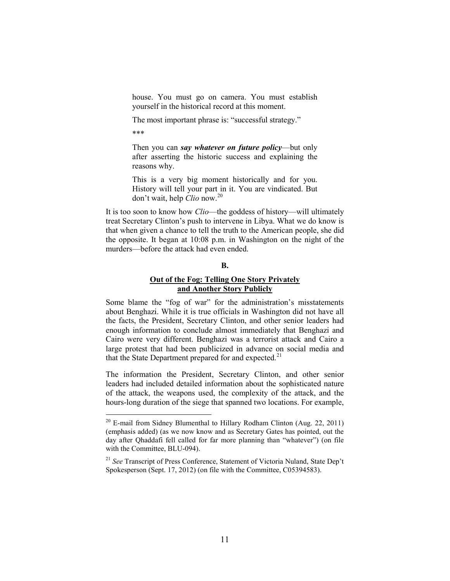house. You must go on camera. You must establish yourself in the historical record at this moment.

The most important phrase is: "successful strategy."

\*\*\*

Then you can *say whatever on future policy*—but only after asserting the historic success and explaining the reasons why.

This is a very big moment historically and for you. History will tell your part in it. You are vindicated. But don't wait, help *Clio* now.[20](#page-13-0)

It is too soon to know how *Clio*—the goddess of history—will ultimately treat Secretary Clinton's push to intervene in Libya. What we do know is that when given a chance to tell the truth to the American people, she did the opposite. It began at 10:08 p.m. in Washington on the night of the murders—before the attack had even ended.

# **B.**

# **Out of the Fog: Telling One Story Privately and Another Story Publicly**

Some blame the "fog of war" for the administration's misstatements about Benghazi. While it is true officials in Washington did not have all the facts, the President, Secretary Clinton, and other senior leaders had enough information to conclude almost immediately that Benghazi and Cairo were very different. Benghazi was a terrorist attack and Cairo a large protest that had been publicized in advance on social media and that the State Department prepared for and expected.<sup>[21](#page-13-1)</sup>

The information the President, Secretary Clinton, and other senior leaders had included detailed information about the sophisticated nature of the attack, the weapons used, the complexity of the attack, and the hours-long duration of the siege that spanned two locations. For example,

<span id="page-13-0"></span><sup>&</sup>lt;sup>20</sup> E-mail from Sidney Blumenthal to Hillary Rodham Clinton (Aug. 22, 2011) (emphasis added) (as we now know and as Secretary Gates has pointed, out the day after Qhaddafi fell called for far more planning than "whatever") (on file with the Committee, BLU-094).

<span id="page-13-1"></span><sup>21</sup> *See* Transcript of Press Conference, Statement of Victoria Nuland, State Dep't Spokesperson (Sept. 17, 2012) (on file with the Committee, C05394583).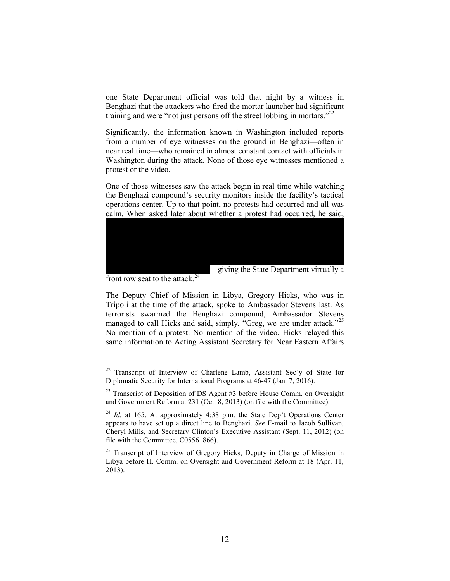one State Department official was told that night by a witness in Benghazi that the attackers who fired the mortar launcher had significant training and were "not just persons off the street lobbing in mortars."<sup>[22](#page-14-0)</sup>

Significantly, the information known in Washington included reports from a number of eye witnesses on the ground in Benghazi—often in near real time—who remained in almost constant contact with officials in Washington during the attack. None of those eye witnesses mentioned a protest or the video.

One of those witnesses saw the attack begin in real time while watching the Benghazi compound's security monitors inside the facility's tactical operations center. Up to that point, no protests had occurred and all was calm. When asked later about whether a protest had occurred, he said,



front row seat to the attack.<sup>[24](#page-14-2)</sup>

The Deputy Chief of Mission in Libya, Gregory Hicks, who was in Tripoli at the time of the attack, spoke to Ambassador Stevens last. As terrorists swarmed the Benghazi compound, Ambassador Stevens managed to call Hicks and said, simply, "Greg, we are under attack."<sup>[25](#page-14-3)</sup> No mention of a protest. No mention of the video. Hicks relayed this same information to Acting Assistant Secretary for Near Eastern Affairs

<span id="page-14-0"></span><sup>&</sup>lt;sup>22</sup> Transcript of Interview of Charlene Lamb, Assistant Sec'y of State for Diplomatic Security for International Programs at 46-47 (Jan. 7, 2016).

<span id="page-14-1"></span> $23$  Transcript of Deposition of DS Agent #3 before House Comm. on Oversight and Government Reform at 231 (Oct. 8, 2013) (on file with the Committee).

<span id="page-14-2"></span> $^{24}$  *Id.* at 165. At approximately 4:38 p.m. the State Dep't Operations Center appears to have set up a direct line to Benghazi. *See* E-mail to Jacob Sullivan, Cheryl Mills, and Secretary Clinton's Executive Assistant (Sept. 11, 2012) (on file with the Committee, C05561866).

<span id="page-14-3"></span> $25$  Transcript of Interview of Gregory Hicks, Deputy in Charge of Mission in Libya before H. Comm. on Oversight and Government Reform at 18 (Apr. 11, 2013).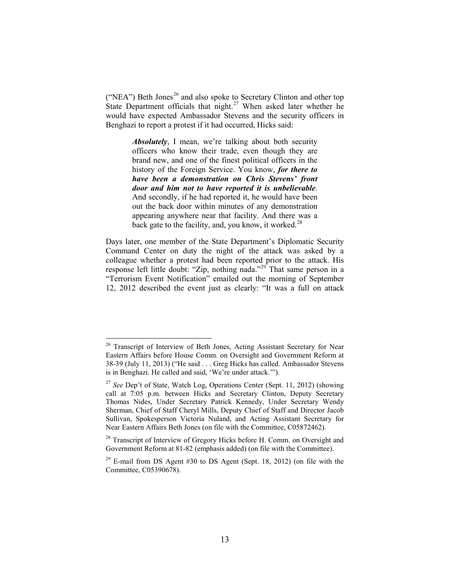("NEA") Beth Jones<sup>[26](#page-15-0)</sup> and also spoke to Secretary Clinton and other top State Department officials that night.<sup>[27](#page-15-1)</sup> When asked later whether he would have expected Ambassador Stevens and the security officers in Benghazi to report a protest if it had occurred, Hicks said:

> *Absolutely*, I mean, we're talking about both security officers who know their trade, even though they are brand new, and one of the finest political officers in the history of the Foreign Service. You know, *for there to have been a demonstration on Chris Stevens' front door and him not to have reported it is unbelievable*. And secondly, if he had reported it, he would have been out the back door within minutes of any demonstration appearing anywhere near that facility. And there was a back gate to the facility, and, you know, it worked.<sup>[28](#page-15-2)</sup>

Days later, one member of the State Department's Diplomatic Security Command Center on duty the night of the attack was asked by a colleague whether a protest had been reported prior to the attack. His response left little doubt: "Zip, nothing nada."<sup>[29](#page-15-3)</sup> That same person in a "Terrorism Event Notification" emailed out the morning of September 12, 2012 described the event just as clearly: "It was a full on attack

<span id="page-15-0"></span><sup>&</sup>lt;sup>26</sup> Transcript of Interview of Beth Jones, Acting Assistant Secretary for Near Eastern Affairs before House Comm. on Oversight and Government Reform at 38-39 (July 11, 2013) ("He said . . . Greg Hicks has called. Ambassador Stevens is in Benghazi. He called and said, 'We're under attack.'").

<span id="page-15-1"></span><sup>27</sup> *See* Dep't of State, Watch Log, Operations Center (Sept. 11, 2012) (showing call at 7:05 p.m. between Hicks and Secretary Clinton, Deputy Secretary Thomas Nides, Under Secretary Patrick Kennedy, Under Secretary Wendy Sherman, Chief of Staff Cheryl Mills, Deputy Chief of Staff and Director Jacob Sullivan, Spokesperson Victoria Nuland, and Acting Assistant Secretary for Near Eastern Affairs Beth Jones (on file with the Committee, C05872462).

<span id="page-15-2"></span> $28$  Transcript of Interview of Gregory Hicks before H. Comm. on Oversight and Government Reform at 81-82 (emphasis added) (on file with the Committee).

<span id="page-15-3"></span> $29$  E-mail from DS Agent #30 to DS Agent (Sept. 18, 2012) (on file with the Committee, C05390678).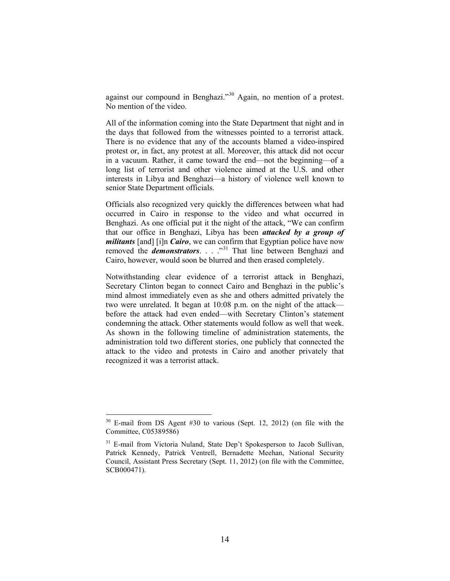against our compound in Benghazi."[30](#page-16-0) Again, no mention of a protest. No mention of the video.

All of the information coming into the State Department that night and in the days that followed from the witnesses pointed to a terrorist attack. There is no evidence that any of the accounts blamed a video-inspired protest or, in fact, any protest at all. Moreover, this attack did not occur in a vacuum. Rather, it came toward the end—not the beginning—of a long list of terrorist and other violence aimed at the U.S. and other interests in Libya and Benghazi—a history of violence well known to senior State Department officials.

Officials also recognized very quickly the differences between what had occurred in Cairo in response to the video and what occurred in Benghazi. As one official put it the night of the attack, "We can confirm that our office in Benghazi, Libya has been *attacked by a group of militants* [and] [i]n *Cairo*, we can confirm that Egyptian police have now removed the *demonstrators*. . . .<sup>3[31](#page-16-1)</sup> That line between Benghazi and Cairo, however, would soon be blurred and then erased completely.

Notwithstanding clear evidence of a terrorist attack in Benghazi, Secretary Clinton began to connect Cairo and Benghazi in the public's mind almost immediately even as she and others admitted privately the two were unrelated. It began at 10:08 p.m. on the night of the attack before the attack had even ended—with Secretary Clinton's statement condemning the attack. Other statements would follow as well that week. As shown in the following timeline of administration statements, the administration told two different stories, one publicly that connected the attack to the video and protests in Cairo and another privately that recognized it was a terrorist attack.

<span id="page-16-0"></span> $30$  E-mail from DS Agent #30 to various (Sept. 12, 2012) (on file with the Committee, C05389586)

<span id="page-16-1"></span><sup>&</sup>lt;sup>31</sup> E-mail from Victoria Nuland, State Dep't Spokesperson to Jacob Sullivan, Patrick Kennedy, Patrick Ventrell, Bernadette Meehan, National Security Council, Assistant Press Secretary (Sept. 11, 2012) (on file with the Committee, SCB000471).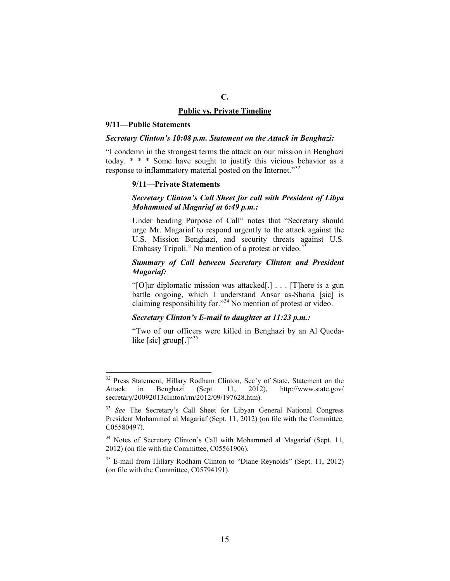# **C. Public vs. Private Timeline**

#### **9/11—Public Statements**

### *Secretary Clinton's 10:08 p.m. Statement on the Attack in Benghazi:*

"I condemn in the strongest terms the attack on our mission in Benghazi today. \* \* \* Some have sought to justify this vicious behavior as a response to inflammatory material posted on the Internet."<sup>[32](#page-17-0)</sup>

### **9/11—Private Statements**

# *Secretary Clinton's Call Sheet for call with President of Libya Mohammed al Magariaf at 6:49 p.m.:*

Under heading Purpose of Call" notes that "Secretary should urge Mr. Magariaf to respond urgently to the attack against the U.S. Mission Benghazi, and security threats against U.S. Embassy Tripoli." No mention of a protest or video.<sup>3</sup>

# *Summary of Call between Secretary Clinton and President Magariaf:*

"[O]ur diplomatic mission was attacked[.] . . . [T]here is a gun battle ongoing, which I understand Ansar as-Sharia [sic] is claiming responsibility for."[34](#page-17-2) No mention of protest or video.

# *Secretary Clinton's E-mail to daughter at 11:23 p.m.:*

"Two of our officers were killed in Benghazi by an Al Quedalike [sic] group[ $.^{17,35}$  $.^{17,35}$  $.^{17,35}$ ]

<span id="page-17-0"></span><sup>&</sup>lt;sup>32</sup> Press Statement, Hillary Rodham Clinton, Sec'y of State, Statement on the Attack in Benghazi (Sept. 11, 2012), http://www.state.gov/ secretary/20092013clinton/rm/2012/09/197628.htm).

<span id="page-17-1"></span><sup>&</sup>lt;sup>33</sup> *See* The Secretary's Call Sheet for Libyan General National Congress President Mohammed al Magariaf (Sept. 11, 2012) (on file with the Committee, C05580497).

<span id="page-17-2"></span><sup>&</sup>lt;sup>34</sup> Notes of Secretary Clinton's Call with Mohammed al Magariaf (Sept. 11, 2012) (on file with the Committee, C05561906).

<span id="page-17-3"></span><sup>&</sup>lt;sup>35</sup> E-mail from Hillary Rodham Clinton to "Diane Reynolds" (Sept. 11, 2012) (on file with the Committee, C05794191).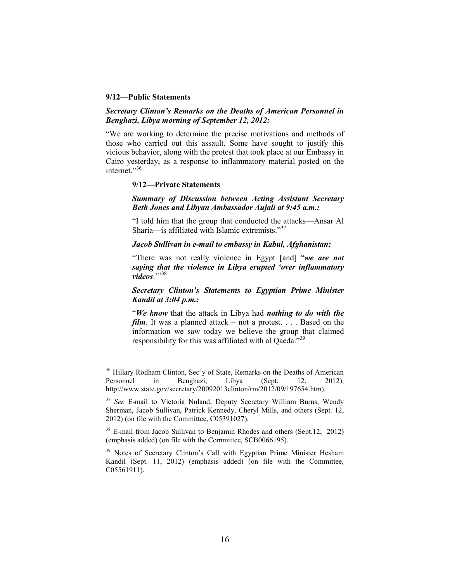### **9/12—Public Statements**

# *Secretary Clinton's Remarks on the Deaths of American Personnel in Benghazi, Libya morning of September 12, 2012:*

"We are working to determine the precise motivations and methods of those who carried out this assault. Some have sought to justify this vicious behavior, along with the protest that took place at our Embassy in Cairo yesterday, as a response to inflammatory material posted on the internet."<sup>[36](#page-18-0)</sup>

### **9/12—Private Statements**

# *Summary of Discussion between Acting Assistant Secretary Beth Jones and Libyan Ambassador Aujali at 9:45 a.m.:*

"I told him that the group that conducted the attacks—Ansar Al Sharia—is affiliated with Islamic extremists."[37](#page-18-1)

# *Jacob Sullivan in e-mail to embassy in Kabul, Afghanistan:*

"There was not really violence in Egypt [and] "*we are not saying that the violence in Libya erupted 'over inflammatory*  videos<sup>.</sup>"<sup>[38](#page-18-2)</sup>

# *Secretary Clinton's Statements to Egyptian Prime Minister Kandil at 3:04 p.m.:*

"*We know* that the attack in Libya had *nothing to do with the film*. It was a planned attack – not a protest. . . . Based on the information we saw today we believe the group that claimed responsibility for this was affiliated with al Qaeda."<sup>[39](#page-18-3)</sup>

<span id="page-18-0"></span><sup>&</sup>lt;sup>36</sup> Hillary Rodham Clinton, Sec'y of State, Remarks on the Deaths of American Personnel in Benghazi, Libya (Sept. 12, 2012), http://www.state.gov/secretary/20092013clinton/rm/2012/09/197654.htm).

<span id="page-18-1"></span><sup>&</sup>lt;sup>37</sup> See E-mail to Victoria Nuland, Deputy Secretary William Burns, Wendy Sherman, Jacob Sullivan, Patrick Kennedy, Cheryl Mills, and others (Sept. 12, 2012) (on file with the Committee, C05391027).

<span id="page-18-2"></span><sup>&</sup>lt;sup>38</sup> E-mail from Jacob Sullivan to Benjamin Rhodes and others (Sept.12, 2012) (emphasis added) (on file with the Committee, SCB0066195).

<span id="page-18-3"></span><sup>&</sup>lt;sup>39</sup> Notes of Secretary Clinton's Call with Egyptian Prime Minister Hesham Kandil (Sept. 11, 2012) (emphasis added) (on file with the Committee, C05561911).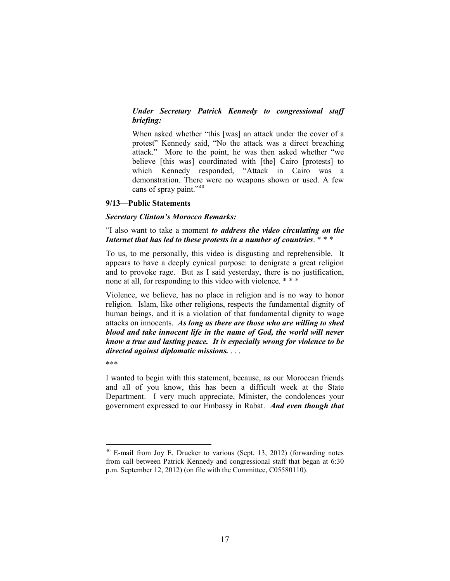# *Under Secretary Patrick Kennedy to congressional staff briefing:*

When asked whether "this [was] an attack under the cover of a protest" Kennedy said, "No the attack was a direct breaching attack." More to the point, he was then asked whether "we believe [this was] coordinated with [the] Cairo [protests] to which Kennedy responded, "Attack in Cairo was a demonstration. There were no weapons shown or used. A few cans of spray paint."<sup>[40](#page-19-0)</sup>

#### **9/13—Public Statements**

### *Secretary Clinton's Morocco Remarks:*

# "I also want to take a moment *to address the video circulating on the Internet that has led to these protests in a number of countries*. \* \* \*

To us, to me personally, this video is disgusting and reprehensible. It appears to have a deeply cynical purpose: to denigrate a great religion and to provoke rage. But as I said yesterday, there is no justification, none at all, for responding to this video with violence. \* \* \*

Violence, we believe, has no place in religion and is no way to honor religion. Islam, like other religions, respects the fundamental dignity of human beings, and it is a violation of that fundamental dignity to wage attacks on innocents. *As long as there are those who are willing to shed blood and take innocent life in the name of God, the world will never know a true and lasting peace. It is especially wrong for violence to be directed against diplomatic missions.* . . .

\*\*\*

I wanted to begin with this statement, because, as our Moroccan friends and all of you know, this has been a difficult week at the State Department. I very much appreciate, Minister, the condolences your government expressed to our Embassy in Rabat. *And even though that* 

<span id="page-19-0"></span> $40$  E-mail from Joy E. Drucker to various (Sept. 13, 2012) (forwarding notes from call between Patrick Kennedy and congressional staff that began at 6:30 p.m. September 12, 2012) (on file with the Committee, C05580110).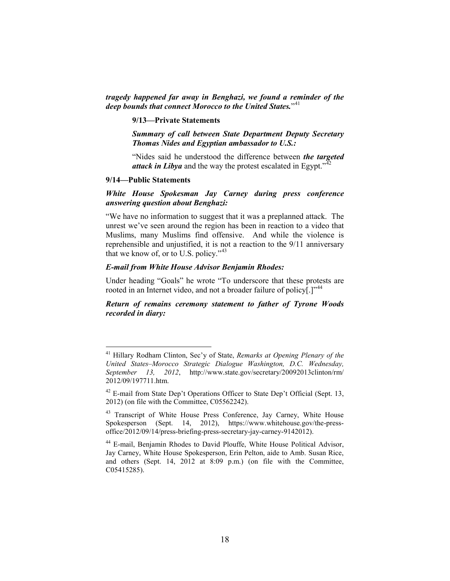*tragedy happened far away in Benghazi, we found a reminder of the deep bounds that connect Morocco to the United States.*"<sup>[41](#page-20-0)</sup>

#### **9/13—Private Statements**

*Summary of call between State Department Deputy Secretary Thomas Nides and Egyptian ambassador to U.S.:*

"Nides said he understood the difference between *the targeted attack in Libya* and the way the protest escalated in Egypt.<sup> $\frac{3}{42}$  $\frac{3}{42}$  $\frac{3}{42}$ </sup>

#### **9/14—Public Statements**

# *White House Spokesman Jay Carney during press conference answering question about Benghazi:*

"We have no information to suggest that it was a preplanned attack. The unrest we've seen around the region has been in reaction to a video that Muslims, many Muslims find offensive. And while the violence is reprehensible and unjustified, it is not a reaction to the 9/11 anniversary that we know of, or to U.S. policy."<sup>[43](#page-20-2)</sup>

### *E-mail from White House Advisor Benjamin Rhodes:*

Under heading "Goals" he wrote "To underscore that these protests are rooted in an Internet video, and not a broader failure of policy[.]<sup>"[44](#page-20-3)</sup>

*Return of remains ceremony statement to father of Tyrone Woods recorded in diary:*

<span id="page-20-0"></span> <sup>41</sup> Hillary Rodham Clinton, Sec'y of State, *Remarks at Opening Plenary of the United States–Morocco Strategic Dialogue Washington, D.C. Wednesday, September 13, 2012*, http://www.state.gov/secretary/20092013clinton/rm/ 2012/09/197711.htm.

<span id="page-20-1"></span> $42$  E-mail from State Dep't Operations Officer to State Dep't Official (Sept. 13, 2012) (on file with the Committee, C05562242).

<span id="page-20-2"></span><sup>&</sup>lt;sup>43</sup> Transcript of White House Press Conference, Jay Carney, White House Spokesperson (Sept. 14, 2012), https://www.whitehouse.gov/the-pressoffice/2012/09/14/press-briefing-press-secretary-jay-carney-9142012).

<span id="page-20-3"></span><sup>44</sup> E-mail, Benjamin Rhodes to David Plouffe, White House Political Advisor, Jay Carney, White House Spokesperson, Erin Pelton, aide to Amb. Susan Rice, and others (Sept. 14, 2012 at 8:09 p.m.) (on file with the Committee, C05415285).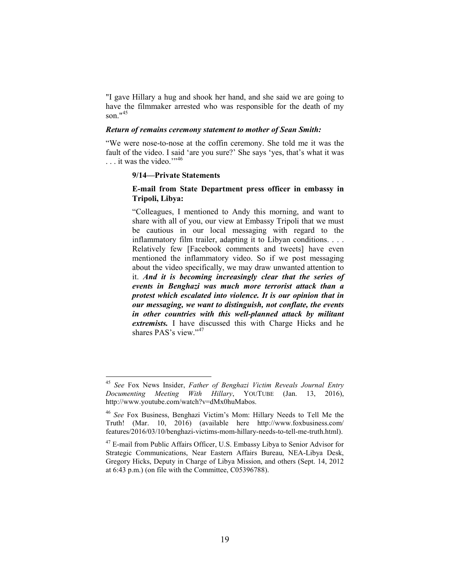"I gave Hillary a hug and shook her hand, and she said we are going to have the filmmaker arrested who was responsible for the death of my son $145$  $145$ 

# *Return of remains ceremony statement to mother of Sean Smith:*

"We were nose-to-nose at the coffin ceremony. She told me it was the fault of the video. I said 'are you sure?' She says 'yes, that's what it was  $\ldots$  it was the video.'"<sup>[46](#page-21-1)</sup>

#### **9/14—Private Statements**

# **E-mail from State Department press officer in embassy in Tripoli, Libya:**

"Colleagues, I mentioned to Andy this morning, and want to share with all of you, our view at Embassy Tripoli that we must be cautious in our local messaging with regard to the inflammatory film trailer, adapting it to Libyan conditions. . . . Relatively few [Facebook comments and tweets] have even mentioned the inflammatory video. So if we post messaging about the video specifically, we may draw unwanted attention to it. *And it is becoming increasingly clear that the series of events in Benghazi was much more terrorist attack than a protest which escalated into violence. It is our opinion that in our messaging, we want to distinguish, not conflate, the events in other countries with this well-planned attack by militant extremists.* I have discussed this with Charge Hicks and he shares PAS's view."[47](#page-21-2)

<span id="page-21-0"></span> <sup>45</sup> *See* Fox News Insider, *Father of Benghazi Victim Reveals Journal Entry Documenting Meeting With Hillary*, YOUTUBE (Jan. 13, 2016), http://www.youtube.com/watch?v=dMx0huMabos.

<span id="page-21-1"></span><sup>46</sup> *See* Fox Business, Benghazi Victim's Mom: Hillary Needs to Tell Me the Truth! (Mar. 10, 2016) (available here http://www.foxbusiness.com/ features/2016/03/10/benghazi-victims-mom-hillary-needs-to-tell-me-truth.html).

<span id="page-21-2"></span><sup>&</sup>lt;sup>47</sup> E-mail from Public Affairs Officer, U.S. Embassy Libya to Senior Advisor for Strategic Communications, Near Eastern Affairs Bureau, NEA-Libya Desk, Gregory Hicks, Deputy in Charge of Libya Mission, and others (Sept. 14, 2012 at 6:43 p.m.) (on file with the Committee, C05396788).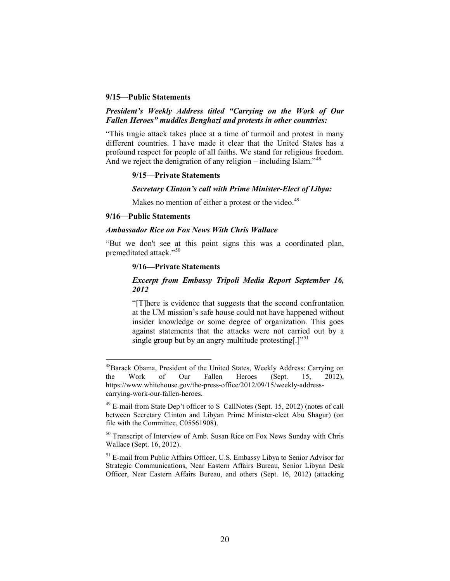## **9/15—Public Statements**

### *President's Weekly Address titled "Carrying on the Work of Our Fallen Heroes" muddles Benghazi and protests in other countries:*

"This tragic attack takes place at a time of turmoil and protest in many different countries. I have made it clear that the United States has a profound respect for people of all faiths. We stand for religious freedom. And we reject the denigration of any religion – including Islam."<sup>[48](#page-22-0)</sup>

#### **9/15—Private Statements**

# *Secretary Clinton's call with Prime Minister-Elect of Libya:*

Makes no mention of either a protest or the video.<sup>[49](#page-22-1)</sup>

### **9/16—Public Statements**

# *Ambassador Rice on Fox News With Chris Wallace*

"But we don't see at this point signs this was a coordinated plan, premeditated attack."[50](#page-22-2)

#### **9/16—Private Statements**

# *Excerpt from Embassy Tripoli Media Report September 16, 2012*

"[T]here is evidence that suggests that the second confrontation at the UM mission's safe house could not have happened without insider knowledge or some degree of organization. This goes against statements that the attacks were not carried out by a single group but by an angry multitude protesting.  $]^{51}$  $]^{51}$  $]^{51}$ 

<span id="page-22-0"></span><sup>&</sup>lt;sup>48</sup>Barack Obama, President of the United States, Weekly Address: Carrying on the Work of Our Fallen Heroes (Sept. 15, 2012), https://www.whitehouse.gov/the-press-office/2012/09/15/weekly-addresscarrying-work-our-fallen-heroes.

<span id="page-22-1"></span> $49$  E-mail from State Dep't officer to S\_CallNotes (Sept. 15, 2012) (notes of call between Secretary Clinton and Libyan Prime Minister-elect Abu Shagur) (on file with the Committee, C05561908).

<span id="page-22-2"></span><sup>&</sup>lt;sup>50</sup> Transcript of Interview of Amb. Susan Rice on Fox News Sunday with Chris Wallace (Sept. 16, 2012).

<span id="page-22-3"></span><sup>&</sup>lt;sup>51</sup> E-mail from Public Affairs Officer, U.S. Embassy Libya to Senior Advisor for Strategic Communications, Near Eastern Affairs Bureau, Senior Libyan Desk Officer, Near Eastern Affairs Bureau, and others (Sept. 16, 2012) (attacking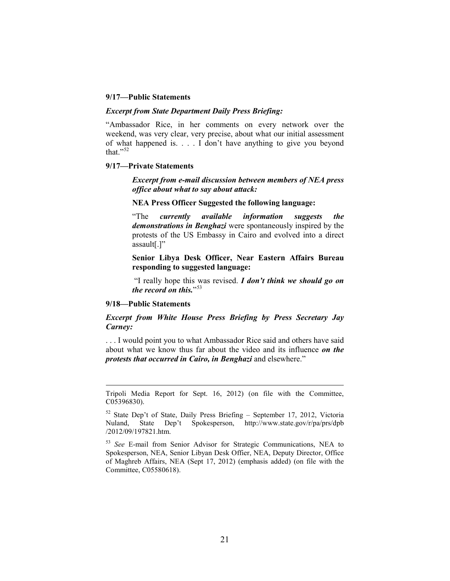### **9/17—Public Statements**

### *Excerpt from State Department Daily Press Briefing:*

"Ambassador Rice, in her comments on every network over the weekend, was very clear, very precise, about what our initial assessment of what happened is. . . . I don't have anything to give you beyond that." $52$ 

#### **9/17—Private Statements**

*Excerpt from e-mail discussion between members of NEA press office about what to say about attack:*

## **NEA Press Officer Suggested the following language:**

"The *currently available information suggests the demonstrations in Benghazi* were spontaneously inspired by the protests of the US Embassy in Cairo and evolved into a direct assault[.]"

**Senior Libya Desk Officer, Near Eastern Affairs Bureau responding to suggested language:**

"I really hope this was revised. *I don't think we should go on the record on this.*"<sup>[53](#page-23-1)</sup>

#### **9/18—Public Statements**

 $\overline{a}$ 

# *Excerpt from White House Press Briefing by Press Secretary Jay Carney:*

. . . I would point you to what Ambassador Rice said and others have said about what we know thus far about the video and its influence *on the protests that occurred in Cairo, in Benghazi* and elsewhere."

Tripoli Media Report for Sept. 16, 2012) (on file with the Committee, C05396830).

<span id="page-23-0"></span><sup>52</sup> State Dep't of State, Daily Press Briefing – September 17, 2012, Victoria Nuland, State Dep't Spokesperson, http://www.state.gov/r/pa/prs/dpb /2012/09/197821.htm.

<span id="page-23-1"></span><sup>53</sup> *See* E-mail from Senior Advisor for Strategic Communications, NEA to Spokesperson, NEA, Senior Libyan Desk Offier, NEA, Deputy Director, Office of Maghreb Affairs, NEA (Sept 17, 2012) (emphasis added) (on file with the Committee, C05580618).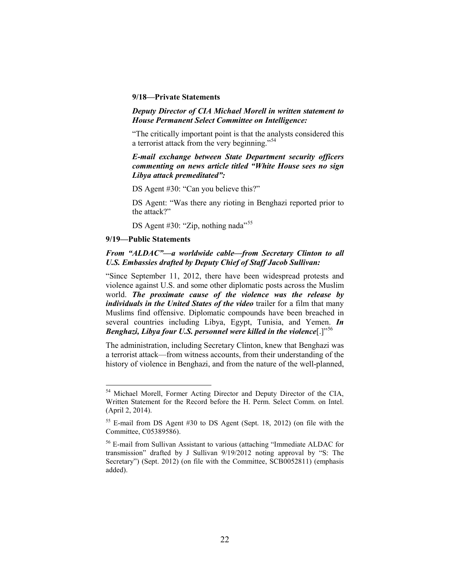### **9/18—Private Statements**

### *Deputy Director of CIA Michael Morell in written statement to House Permanent Select Committee on Intelligence:*

"The critically important point is that the analysts considered this a terrorist attack from the very beginning."[54](#page-24-0)

# *E-mail exchange between State Department security officers commenting on news article titled "White House sees no sign Libya attack premeditated":*

DS Agent #30: "Can you believe this?"

DS Agent: "Was there any rioting in Benghazi reported prior to the attack?"

DS Agent #30: "Zip, nothing nada"<sup>[55](#page-24-1)</sup>

### **9/19—Public Statements**

# *From "ALDAC"—a worldwide cable—from Secretary Clinton to all U.S. Embassies drafted by Deputy Chief of Staff Jacob Sullivan:*

"Since September 11, 2012, there have been widespread protests and violence against U.S. and some other diplomatic posts across the Muslim world. *The proximate cause of the violence was the release by individuals in the United States of the video* trailer for a film that many Muslims find offensive. Diplomatic compounds have been breached in several countries including Libya, Egypt, Tunisia, and Yemen. *In Benghazi, Libya four U.S. personnel were killed in the violence*[.]"<sup>[56](#page-24-2)</sup>

The administration, including Secretary Clinton, knew that Benghazi was a terrorist attack—from witness accounts, from their understanding of the history of violence in Benghazi, and from the nature of the well-planned,

<span id="page-24-0"></span> <sup>54</sup> Michael Morell, Former Acting Director and Deputy Director of the CIA, Written Statement for the Record before the H. Perm. Select Comm. on Intel. (April 2, 2014).

<span id="page-24-1"></span><sup>55</sup> E-mail from DS Agent #30 to DS Agent (Sept. 18, 2012) (on file with the Committee, C05389586).

<span id="page-24-2"></span><sup>56</sup> E-mail from Sullivan Assistant to various (attaching "Immediate ALDAC for transmission" drafted by J Sullivan 9/19/2012 noting approval by "S: The Secretary") (Sept. 2012) (on file with the Committee, SCB0052811) (emphasis added).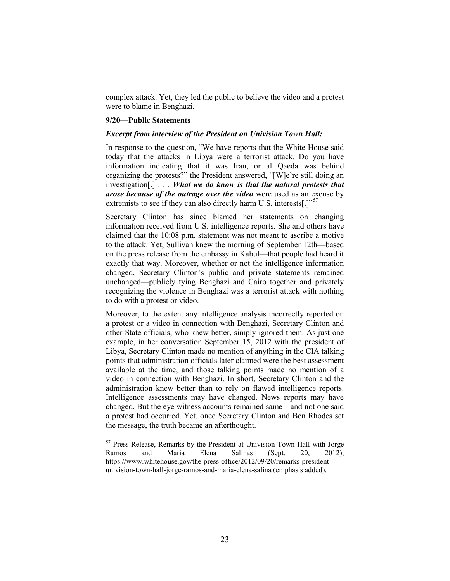complex attack. Yet, they led the public to believe the video and a protest were to blame in Benghazi.

#### **9/20—Public Statements**

#### *Excerpt from interview of the President on Univision Town Hall:*

In response to the question, "We have reports that the White House said today that the attacks in Libya were a terrorist attack. Do you have information indicating that it was Iran, or al Qaeda was behind organizing the protests?" the President answered, "[W]e're still doing an investigation[.] . . . *What we do know is that the natural protests that arose because of the outrage over the video* were used as an excuse by extremists to see if they can also directly harm U.S. interests.  $\Gamma^{57}$  $\Gamma^{57}$  $\Gamma^{57}$ 

Secretary Clinton has since blamed her statements on changing information received from U.S. intelligence reports. She and others have claimed that the 10:08 p.m. statement was not meant to ascribe a motive to the attack. Yet, Sullivan knew the morning of September 12th—based on the press release from the embassy in Kabul—that people had heard it exactly that way. Moreover, whether or not the intelligence information changed, Secretary Clinton's public and private statements remained unchanged—publicly tying Benghazi and Cairo together and privately recognizing the violence in Benghazi was a terrorist attack with nothing to do with a protest or video.

Moreover, to the extent any intelligence analysis incorrectly reported on a protest or a video in connection with Benghazi, Secretary Clinton and other State officials, who knew better, simply ignored them. As just one example, in her conversation September 15, 2012 with the president of Libya, Secretary Clinton made no mention of anything in the CIA talking points that administration officials later claimed were the best assessment available at the time, and those talking points made no mention of a video in connection with Benghazi. In short, Secretary Clinton and the administration knew better than to rely on flawed intelligence reports. Intelligence assessments may have changed. News reports may have changed. But the eye witness accounts remained same—and not one said a protest had occurred. Yet, once Secretary Clinton and Ben Rhodes set the message, the truth became an afterthought.

<span id="page-25-0"></span> <sup>57</sup> Press Release, Remarks by the President at Univision Town Hall with Jorge Ramos and Maria Elena Salinas (Sept. 20, 2012), https://www.whitehouse.gov/the-press-office/2012/09/20/remarks-presidentunivision-town-hall-jorge-ramos-and-maria-elena-salina (emphasis added).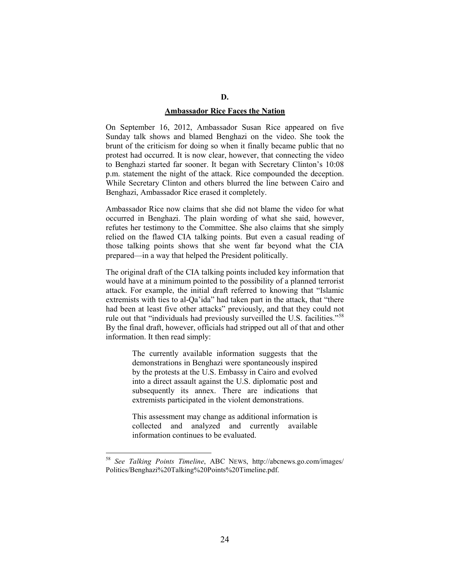# **Ambassador Rice Faces the Nation**

On September 16, 2012, Ambassador Susan Rice appeared on five Sunday talk shows and blamed Benghazi on the video. She took the brunt of the criticism for doing so when it finally became public that no protest had occurred. It is now clear, however, that connecting the video to Benghazi started far sooner. It began with Secretary Clinton's 10:08 p.m. statement the night of the attack. Rice compounded the deception. While Secretary Clinton and others blurred the line between Cairo and Benghazi, Ambassador Rice erased it completely.

Ambassador Rice now claims that she did not blame the video for what occurred in Benghazi. The plain wording of what she said, however, refutes her testimony to the Committee. She also claims that she simply relied on the flawed CIA talking points. But even a casual reading of those talking points shows that she went far beyond what the CIA prepared—in a way that helped the President politically.

The original draft of the CIA talking points included key information that would have at a minimum pointed to the possibility of a planned terrorist attack. For example, the initial draft referred to knowing that "Islamic extremists with ties to al-Qa'ida" had taken part in the attack, that "there had been at least five other attacks" previously, and that they could not rule out that "individuals had previously surveilled the U.S. facilities."<sup>[58](#page-26-0)</sup> By the final draft, however, officials had stripped out all of that and other information. It then read simply:

> The currently available information suggests that the demonstrations in Benghazi were spontaneously inspired by the protests at the U.S. Embassy in Cairo and evolved into a direct assault against the U.S. diplomatic post and subsequently its annex. There are indications that extremists participated in the violent demonstrations.

> This assessment may change as additional information is collected and analyzed and currently available information continues to be evaluated.

<span id="page-26-0"></span> <sup>58</sup> *See Talking Points Timeline*, ABC NEWS, http://abcnews.go.com/images/ Politics/Benghazi%20Talking%20Points%20Timeline.pdf.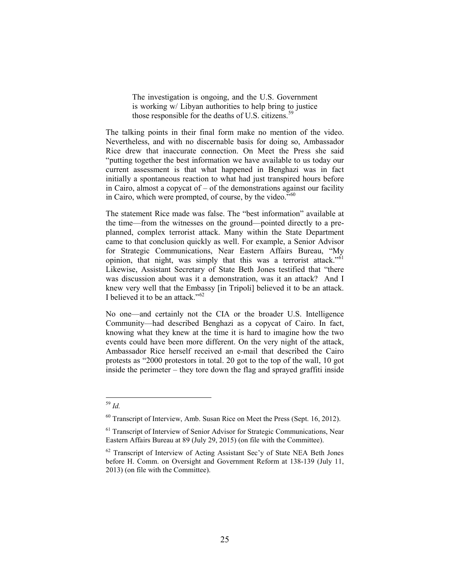The investigation is ongoing, and the U.S. Government is working w/ Libyan authorities to help bring to justice those responsible for the deaths of U.S. citizens.<sup>[59](#page-27-0)</sup>

The talking points in their final form make no mention of the video. Nevertheless, and with no discernable basis for doing so, Ambassador Rice drew that inaccurate connection. On Meet the Press she said "putting together the best information we have available to us today our current assessment is that what happened in Benghazi was in fact initially a spontaneous reaction to what had just transpired hours before in Cairo, almost a copycat of – of the demonstrations against our facility in Cairo, which were prompted, of course, by the video."<sup>[60](#page-27-1)</sup>

The statement Rice made was false. The "best information" available at the time—from the witnesses on the ground—pointed directly to a preplanned, complex terrorist attack. Many within the State Department came to that conclusion quickly as well. For example, a Senior Advisor for Strategic Communications, Near Eastern Affairs Bureau, "My opinion, that night, was simply that this was a terrorist attack."<sup>[61](#page-27-2)</sup> Likewise, Assistant Secretary of State Beth Jones testified that "there was discussion about was it a demonstration, was it an attack? And I knew very well that the Embassy [in Tripoli] believed it to be an attack. I believed it to be an attack." $62$ 

No one—and certainly not the CIA or the broader U.S. Intelligence Community—had described Benghazi as a copycat of Cairo. In fact, knowing what they knew at the time it is hard to imagine how the two events could have been more different. On the very night of the attack, Ambassador Rice herself received an e-mail that described the Cairo protests as "2000 protestors in total. 20 got to the top of the wall, 10 got inside the perimeter – they tore down the flag and sprayed graffiti inside

<span id="page-27-0"></span> <sup>59</sup> *Id.*

<span id="page-27-1"></span> $60$  Transcript of Interview, Amb. Susan Rice on Meet the Press (Sept. 16, 2012).

<span id="page-27-2"></span><sup>&</sup>lt;sup>61</sup> Transcript of Interview of Senior Advisor for Strategic Communications, Near Eastern Affairs Bureau at 89 (July 29, 2015) (on file with the Committee).

<span id="page-27-3"></span> $62$  Transcript of Interview of Acting Assistant Sec'y of State NEA Beth Jones before H. Comm. on Oversight and Government Reform at 138-139 (July 11, 2013) (on file with the Committee).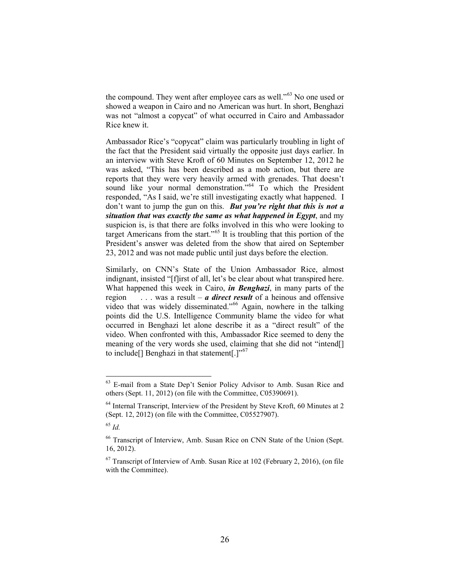the compound. They went after employee cars as well."<sup>[63](#page-28-0)</sup> No one used or showed a weapon in Cairo and no American was hurt. In short, Benghazi was not "almost a copycat" of what occurred in Cairo and Ambassador Rice knew it.

Ambassador Rice's "copycat" claim was particularly troubling in light of the fact that the President said virtually the opposite just days earlier. In an interview with Steve Kroft of 60 Minutes on September 12, 2012 he was asked, "This has been described as a mob action, but there are reports that they were very heavily armed with grenades. That doesn't sound like your normal demonstration."<sup>[64](#page-28-1)</sup> To which the President responded, "As I said, we're still investigating exactly what happened. I don't want to jump the gun on this. *But you're right that this is not a situation that was exactly the same as what happened in Egypt*, and my suspicion is, is that there are folks involved in this who were looking to target Americans from the start."<sup>[65](#page-28-2)</sup> It is troubling that this portion of the President's answer was deleted from the show that aired on September 23, 2012 and was not made public until just days before the election.

Similarly, on CNN's State of the Union Ambassador Rice, almost indignant, insisted "[f]irst of all, let's be clear about what transpired here. What happened this week in Cairo, *in Benghazi*, in many parts of the region . . . was a result – *a direct result* of a heinous and offensive video that was widely disseminated."<sup>[66](#page-28-3)</sup> Again, nowhere in the talking points did the U.S. Intelligence Community blame the video for what occurred in Benghazi let alone describe it as a "direct result" of the video. When confronted with this, Ambassador Rice seemed to deny the meaning of the very words she used, claiming that she did not "intend[] to include<sup>[]</sup> Benghazi in that statement<sup>[.]"[67](#page-28-4)</sup>

<span id="page-28-0"></span> <sup>63</sup> E-mail from a State Dep't Senior Policy Advisor to Amb. Susan Rice and others (Sept. 11, 2012) (on file with the Committee, C05390691).

<span id="page-28-1"></span><sup>&</sup>lt;sup>64</sup> Internal Transcript, Interview of the President by Steve Kroft, 60 Minutes at 2 (Sept. 12, 2012) (on file with the Committee, C05527907).

<span id="page-28-2"></span><sup>65</sup> *Id.*

<span id="page-28-3"></span><sup>66</sup> Transcript of Interview, Amb. Susan Rice on CNN State of the Union (Sept. 16, 2012).

<span id="page-28-4"></span> $67$  Transcript of Interview of Amb. Susan Rice at 102 (February 2, 2016), (on file with the Committee).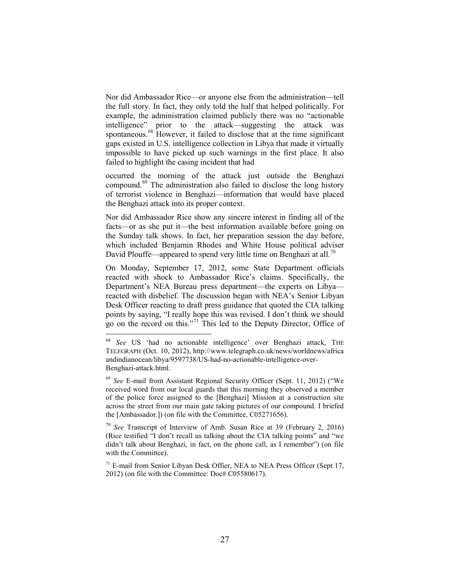Nor did Ambassador Rice—or anyone else from the administration—tell the full story. In fact, they only told the half that helped politically. For example, the administration claimed publicly there was no "actionable intelligence" prior to the attack—suggesting the attack was spontaneous.<sup>[68](#page-29-0)</sup> However, it failed to disclose that at the time significant gaps existed in U.S. intelligence collection in Libya that made it virtually impossible to have picked up such warnings in the first place. It also failed to highlight the casing incident that had

occurred the morning of the attack just outside the Benghazi compound.[69](#page-29-1) The administration also failed to disclose the long history of terrorist violence in Benghazi—information that would have placed the Benghazi attack into its proper context.

Nor did Ambassador Rice show any sincere interest in finding all of the facts—or as she put it—the best information available before going on the Sunday talk shows. In fact, her preparation session the day before, which included Benjamin Rhodes and White House political adviser David Plouffe—appeared to spend very little time on Benghazi at all.<sup>[70](#page-29-2)</sup>

On Monday, September 17, 2012, some State Department officials reacted with shock to Ambassador Rice's claims. Specifically, the Department's NEA Bureau press department—the experts on Libya reacted with disbelief. The discussion began with NEA's Senior Libyan Desk Officer reacting to draft press guidance that quoted the CIA talking points by saying, "I really hope this was revised. I don't think we should go on the record on this."<sup>[71](#page-29-3)</sup> This led to the Deputy Director, Office of

<span id="page-29-2"></span><sup>70</sup> *See* Transcript of Interview of Amb. Susan Rice at 39 (February 2, 2016) (Rice testified "I don't recall us talking about the CIA talking points" and "we didn't talk about Benghazi, in fact, on the phone call, as I remember") (on file with the Committee).

<span id="page-29-0"></span>See US 'had no actionable intelligence' over Benghazi attack, THE TELEGRAPH (Oct. 10, 2012), http://www.telegraph.co.uk/news/worldnews/africa andindianocean/libya/9597738/US-had-no-actionable-intelligence-over-Benghazi-attack.html.

<span id="page-29-1"></span><sup>69</sup> *See* E-mail from Assistant Regional Security Officer (Sept. 11, 2012) ("We received word from our local guards that this morning they observed a member of the police force assigned to the [Benghazi] Mission at a construction site across the street from our main gate taking pictures of our compound. I briefed the [Ambassador.]) (on file with the Committee, C05271656).

<span id="page-29-3"></span><sup>&</sup>lt;sup>71</sup> E-mail from Senior Libyan Desk Offier, NEA to NEA Press Officer (Sept 17, 2012) (on file with the Committee: Doc# C05580617).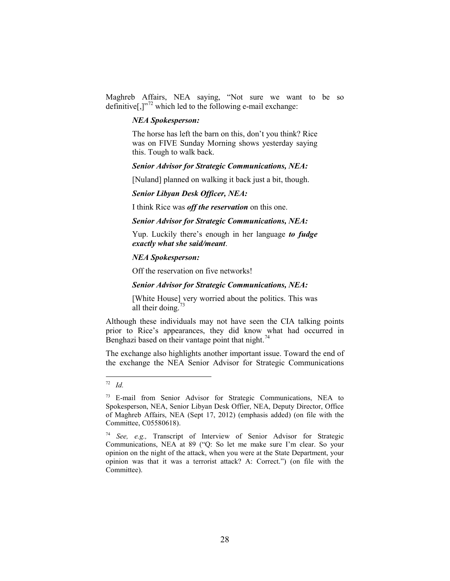Maghreb Affairs, NEA saying, "Not sure we want to be so definitive[,]"[72](#page-30-0) which led to the following e-mail exchange:

#### *NEA Spokesperson:*

The horse has left the barn on this, don't you think? Rice was on FIVE Sunday Morning shows yesterday saying this. Tough to walk back.

#### *Senior Advisor for Strategic Communications, NEA:*

[Nuland] planned on walking it back just a bit, though.

#### *Senior Libyan Desk Officer, NEA:*

I think Rice was *off the reservation* on this one.

### *Senior Advisor for Strategic Communications, NEA:*

Yup. Luckily there's enough in her language *to fudge exactly what she said/meant*.

### *NEA Spokesperson:*

Off the reservation on five networks!

#### *Senior Advisor for Strategic Communications, NEA:*

[White House] very worried about the politics. This was all their doing. $73$ 

Although these individuals may not have seen the CIA talking points prior to Rice's appearances, they did know what had occurred in Benghazi based on their vantage point that night.<sup>[74](#page-30-2)</sup>

The exchange also highlights another important issue. Toward the end of the exchange the NEA Senior Advisor for Strategic Communications

<span id="page-30-0"></span> <sup>72</sup> *Id.*

<span id="page-30-1"></span><sup>73</sup> E-mail from Senior Advisor for Strategic Communications, NEA to Spokesperson, NEA, Senior Libyan Desk Offier, NEA, Deputy Director, Office of Maghreb Affairs, NEA (Sept 17, 2012) (emphasis added) (on file with the Committee, C05580618).

<span id="page-30-2"></span><sup>74</sup> *See, e.g.,* Transcript of Interview of Senior Advisor for Strategic Communications, NEA at 89 ("Q: So let me make sure I'm clear. So your opinion on the night of the attack, when you were at the State Department, your opinion was that it was a terrorist attack? A: Correct.") (on file with the Committee).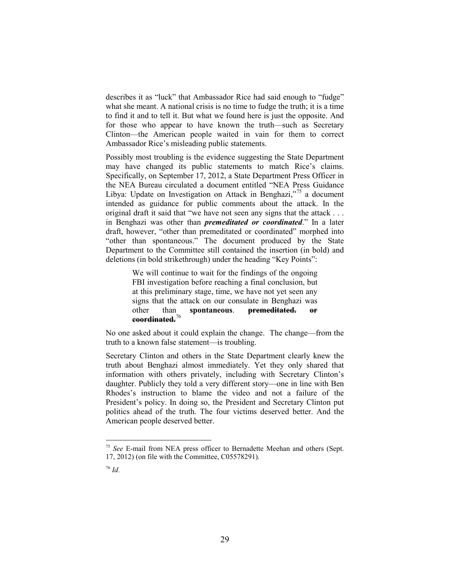describes it as "luck" that Ambassador Rice had said enough to "fudge" what she meant. A national crisis is no time to fudge the truth; it is a time to find it and to tell it. But what we found here is just the opposite. And for those who appear to have known the truth—such as Secretary Clinton—the American people waited in vain for them to correct Ambassador Rice's misleading public statements.

Possibly most troubling is the evidence suggesting the State Department may have changed its public statements to match Rice's claims. Specifically, on September 17, 2012, a State Department Press Officer in the NEA Bureau circulated a document entitled "NEA Press Guidance Libya: Update on Investigation on Attack in Benghazi,"<sup>[75](#page-31-0)</sup> a document intended as guidance for public comments about the attack. In the original draft it said that "we have not seen any signs that the attack . . . in Benghazi was other than *premeditated or coordinated*." In a later draft, however, "other than premeditated or coordinated" morphed into "other than spontaneous." The document produced by the State Department to the Committee still contained the insertion (in bold) and deletions (in bold strikethrough) under the heading "Key Points":

> We will continue to wait for the findings of the ongoing FBI investigation before reaching a final conclusion, but at this preliminary stage, time, we have not yet seen any signs that the attack on our consulate in Benghazi was other than **spontaneous**. **premeditated. or coordinated.**[76](#page-31-1)

No one asked about it could explain the change. The change—from the truth to a known false statement—is troubling.

Secretary Clinton and others in the State Department clearly knew the truth about Benghazi almost immediately. Yet they only shared that information with others privately, including with Secretary Clinton's daughter. Publicly they told a very different story—one in line with Ben Rhodes's instruction to blame the video and not a failure of the President's policy. In doing so, the President and Secretary Clinton put politics ahead of the truth. The four victims deserved better. And the American people deserved better.

<span id="page-31-1"></span><span id="page-31-0"></span> <sup>75</sup> *See* E-mail from NEA press officer to Bernadette Meehan and others (Sept. 17, 2012) (on file with the Committee, C05578291).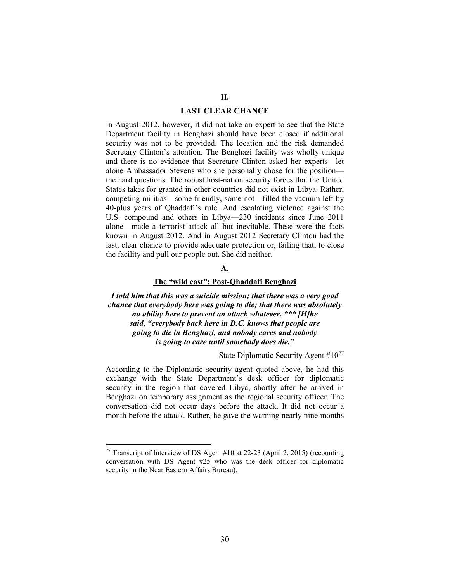#### **LAST CLEAR CHANCE**

In August 2012, however, it did not take an expert to see that the State Department facility in Benghazi should have been closed if additional security was not to be provided. The location and the risk demanded Secretary Clinton's attention. The Benghazi facility was wholly unique and there is no evidence that Secretary Clinton asked her experts—let alone Ambassador Stevens who she personally chose for the position the hard questions. The robust host-nation security forces that the United States takes for granted in other countries did not exist in Libya. Rather, competing militias—some friendly, some not—filled the vacuum left by 40-plus years of Qhaddafi's rule. And escalating violence against the U.S. compound and others in Libya—230 incidents since June 2011 alone—made a terrorist attack all but inevitable. These were the facts known in August 2012. And in August 2012 Secretary Clinton had the last, clear chance to provide adequate protection or, failing that, to close the facility and pull our people out. She did neither.

# **A.**

# **The "wild east": Post-Qhaddafi Benghazi**

*I told him that this was a suicide mission; that there was a very good chance that everybody here was going to die; that there was absolutely no ability here to prevent an attack whatever. \*\*\* [H]he said, "everybody back here in D.C. knows that people are going to die in Benghazi, and nobody cares and nobody is going to care until somebody does die."*

State Diplomatic Security Agent  $#10^{77}$  $#10^{77}$  $#10^{77}$ 

According to the Diplomatic security agent quoted above, he had this exchange with the State Department's desk officer for diplomatic security in the region that covered Libya, shortly after he arrived in Benghazi on temporary assignment as the regional security officer. The conversation did not occur days before the attack. It did not occur a month before the attack. Rather, he gave the warning nearly nine months

<span id="page-32-0"></span> $77$  Transcript of Interview of DS Agent #10 at 22-23 (April 2, 2015) (recounting conversation with DS Agent #25 who was the desk officer for diplomatic security in the Near Eastern Affairs Bureau).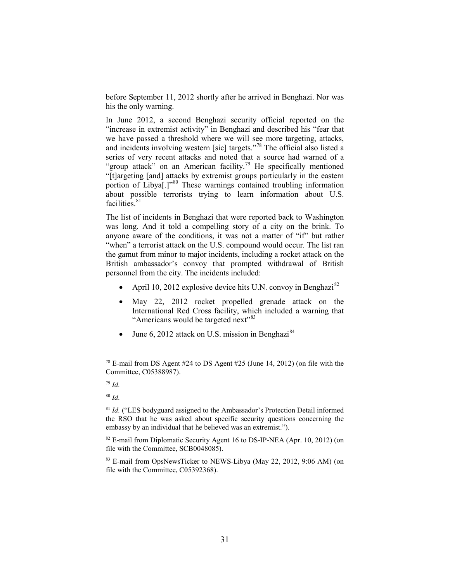before September 11, 2012 shortly after he arrived in Benghazi. Nor was his the only warning.

In June 2012, a second Benghazi security official reported on the "increase in extremist activity" in Benghazi and described his "fear that we have passed a threshold where we will see more targeting, attacks, and incidents involving western [sic] targets."[78](#page-33-0) The official also listed a series of very recent attacks and noted that a source had warned of a "group attack" on an American facility.<sup>[79](#page-33-1)</sup> He specifically mentioned "[t]argeting [and] attacks by extremist groups particularly in the eastern portion of Libya<sup>[1]"[80](#page-33-2)</sup> These warnings contained troubling information about possible terrorists trying to learn information about U.S. facilities.<sup>[81](#page-33-3)</sup>

The list of incidents in Benghazi that were reported back to Washington was long. And it told a compelling story of a city on the brink. To anyone aware of the conditions, it was not a matter of "if" but rather "when" a terrorist attack on the U.S. compound would occur. The list ran the gamut from minor to major incidents, including a rocket attack on the British ambassador's convoy that prompted withdrawal of British personnel from the city. The incidents included:

- April 10, 2012 explosive device hits U.N. convoy in Benghazi $^{82}$  $^{82}$  $^{82}$
- <span id="page-33-6"></span>May 22, 2012 rocket propelled grenade attack on the International Red Cross facility, which included a warning that "Americans would be targeted next"<sup>[83](#page-33-5)</sup>
- June 6, 2012 attack on U.S. mission in Benghazi<sup>[84](#page-33-6)</sup>

<span id="page-33-0"></span> $78$  E-mail from DS Agent #24 to DS Agent #25 (June 14, 2012) (on file with the Committee, C05388987).

<span id="page-33-1"></span><sup>79</sup> *Id.*

<span id="page-33-2"></span><sup>80</sup> *Id.*

<span id="page-33-3"></span><sup>&</sup>lt;sup>81</sup> *Id.* ("LES bodyguard assigned to the Ambassador's Protection Detail informed the RSO that he was asked about specific security questions concerning the embassy by an individual that he believed was an extremist.").

<span id="page-33-4"></span> $82$  E-mail from Diplomatic Security Agent 16 to DS-IP-NEA (Apr. 10, 2012) (on file with the Committee, SCB0048085).

<span id="page-33-5"></span><sup>83</sup> E-mail from OpsNewsTicker to NEWS-Libya (May 22, 2012, 9:06 AM) (on file with the Committee, C05392368).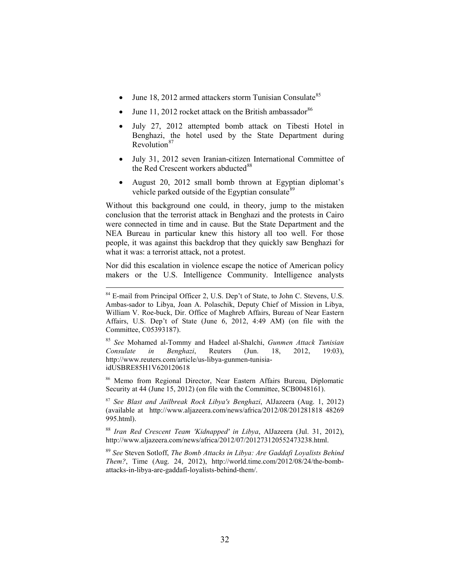- June 18, 2012 armed attackers storm Tunisian Consulate<sup>[85](#page-34-0)</sup>
- June 11, 2012 rocket attack on the British ambassador $86$
- July 27, 2012 attempted bomb attack on Tibesti Hotel in Benghazi, the hotel used by the State Department during Revolution $87$
- July 31, 2012 seven Iranian-citizen International Committee of the Red Crescent workers abducted<sup>[88](#page-34-3)</sup>
- August 20, 2012 small bomb thrown at Egyptian diplomat's vehicle parked outside of the Egyptian consulate<sup>[89](#page-34-4)</sup>

Without this background one could, in theory, jump to the mistaken conclusion that the terrorist attack in Benghazi and the protests in Cairo were connected in time and in cause. But the State Department and the NEA Bureau in particular knew this history all too well. For those people, it was against this backdrop that they quickly saw Benghazi for what it was: a terrorist attack, not a protest.

Nor did this escalation in violence escape the notice of American policy makers or the U.S. Intelligence Community. Intelligence analysts

<span id="page-34-1"></span><sup>86</sup> Memo from Regional Director, Near Eastern Affairs Bureau, Diplomatic Security at 44 (June 15, 2012) (on file with the Committee, SCB0048161).

<span id="page-34-2"></span><sup>87</sup> *See Blast and Jailbreak Rock Libya's Benghazi*, AlJazeera (Aug. 1, 2012) (available at http://www.aljazeera.com/news/africa/2012/08/201281818 48269 995.html).

<span id="page-34-3"></span><sup>88</sup> *Iran Red Crescent Team 'Kidnapped' in Libya*, AlJazeera (Jul. 31, 2012), http://www.aljazeera.com/news/africa/2012/07/201273120552473238.html.

<span id="page-34-4"></span><sup>89</sup> *See* Steven Sotloff, *The Bomb Attacks in Libya: Are Gaddafi Loyalists Behind Them?*, Time (Aug. 24, 2012), http://world.time.com/2012/08/24/the-bombattacks-in-libya-are-gaddafi-loyalists-behind-them/.

<sup>&</sup>lt;sup>84</sup> E-mail from Principal Officer 2, U.S. Dep't of State, to John C. Stevens, U.S. Ambas-sador to Libya, Joan A. Polaschik, Deputy Chief of Mission in Libya, William V. Roe-buck, Dir. Office of Maghreb Affairs, Bureau of Near Eastern Affairs, U.S. Dep't of State (June 6, 2012, 4:49 AM) (on file with the Committee, C05393187).

<span id="page-34-0"></span><sup>85</sup> *See* Mohamed al-Tommy and Hadeel al-Shalchi, *Gunmen Attack Tunisian Consulate in Benghazi*, Reuters (Jun. 18, 2012, 19:03), http://www.reuters.com/article/us-libya-gunmen-tunisiaidUSBRE85H1V620120618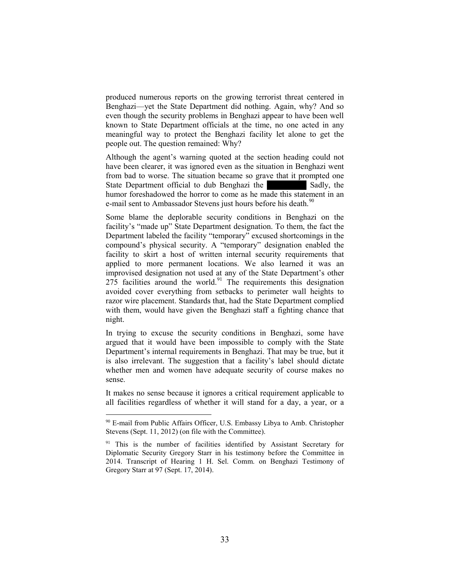produced numerous reports on the growing terrorist threat centered in Benghazi—yet the State Department did nothing. Again, why? And so even though the security problems in Benghazi appear to have been well known to State Department officials at the time, no one acted in any meaningful way to protect the Benghazi facility let alone to get the people out. The question remained: Why?

Although the agent's warning quoted at the section heading could not have been clearer, it was ignored even as the situation in Benghazi went from bad to worse. The situation became so grave that it prompted one State Department official to dub Benghazi the Sadly, the humor foreshadowed the horror to come as he made this statement in an e-mail sent to Ambassador Stevens just hours before his death.<sup>[90](#page-35-0)</sup>

Some blame the deplorable security conditions in Benghazi on the facility's "made up" State Department designation. To them, the fact the Department labeled the facility "temporary" excused shortcomings in the compound's physical security. A "temporary" designation enabled the facility to skirt a host of written internal security requirements that applied to more permanent locations. We also learned it was an improvised designation not used at any of the State Department's other  $275$  facilities around the world.<sup>[91](#page-35-1)</sup> The requirements this designation avoided cover everything from setbacks to perimeter wall heights to razor wire placement. Standards that, had the State Department complied with them, would have given the Benghazi staff a fighting chance that night.

In trying to excuse the security conditions in Benghazi, some have argued that it would have been impossible to comply with the State Department's internal requirements in Benghazi. That may be true, but it is also irrelevant. The suggestion that a facility's label should dictate whether men and women have adequate security of course makes no sense.

It makes no sense because it ignores a critical requirement applicable to all facilities regardless of whether it will stand for a day, a year, or a

<span id="page-35-0"></span><sup>&</sup>lt;sup>90</sup> E-mail from Public Affairs Officer, U.S. Embassy Libya to Amb. Christopher Stevens (Sept. 11, 2012) (on file with the Committee).

<span id="page-35-1"></span><sup>&</sup>lt;sup>91</sup> This is the number of facilities identified by Assistant Secretary for Diplomatic Security Gregory Starr in his testimony before the Committee in 2014. Transcript of Hearing 1 H. Sel. Comm. on Benghazi Testimony of Gregory Starr at 97 (Sept. 17, 2014).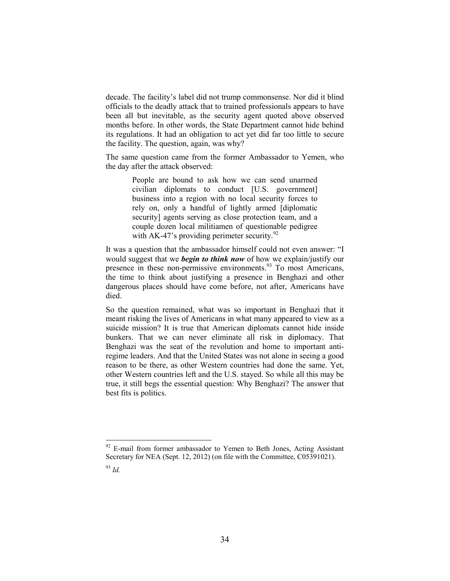decade. The facility's label did not trump commonsense. Nor did it blind officials to the deadly attack that to trained professionals appears to have been all but inevitable, as the security agent quoted above observed months before. In other words, the State Department cannot hide behind its regulations. It had an obligation to act yet did far too little to secure the facility. The question, again, was why?

The same question came from the former Ambassador to Yemen, who the day after the attack observed:

> People are bound to ask how we can send unarmed civilian diplomats to conduct [U.S. government] business into a region with no local security forces to rely on, only a handful of lightly armed [diplomatic security] agents serving as close protection team, and a couple dozen local militiamen of questionable pedigree with AK-47's providing perimeter security. $^{92}$  $^{92}$  $^{92}$

It was a question that the ambassador himself could not even answer: "I would suggest that we *begin to think now* of how we explain/justify our presence in these non-permissive environments. [93](#page-36-1) To most Americans, the time to think about justifying a presence in Benghazi and other dangerous places should have come before, not after, Americans have died.

So the question remained, what was so important in Benghazi that it meant risking the lives of Americans in what many appeared to view as a suicide mission? It is true that American diplomats cannot hide inside bunkers. That we can never eliminate all risk in diplomacy. That Benghazi was the seat of the revolution and home to important antiregime leaders. And that the United States was not alone in seeing a good reason to be there, as other Western countries had done the same. Yet, other Western countries left and the U.S. stayed. So while all this may be true, it still begs the essential question: Why Benghazi? The answer that best fits is politics.

<span id="page-36-1"></span><span id="page-36-0"></span><sup>&</sup>lt;sup>92</sup> E-mail from former ambassador to Yemen to Beth Jones, Acting Assistant Secretary for NEA (Sept. 12, 2012) (on file with the Committee, C05391021). <sup>93</sup> *Id.*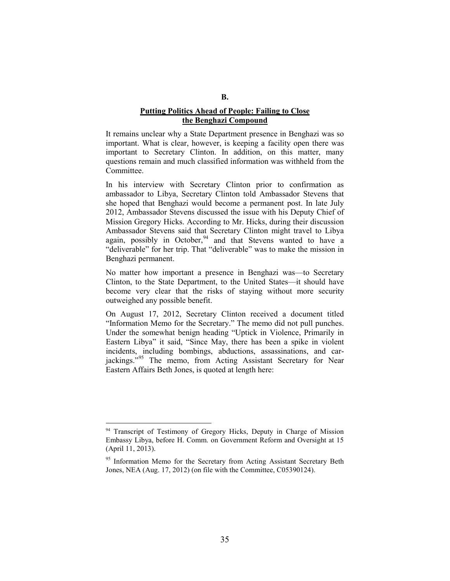# **Putting Politics Ahead of People: Failing to Close the Benghazi Compound**

It remains unclear why a State Department presence in Benghazi was so important. What is clear, however, is keeping a facility open there was important to Secretary Clinton. In addition, on this matter, many questions remain and much classified information was withheld from the Committee.

In his interview with Secretary Clinton prior to confirmation as ambassador to Libya, Secretary Clinton told Ambassador Stevens that she hoped that Benghazi would become a permanent post. In late July 2012, Ambassador Stevens discussed the issue with his Deputy Chief of Mission Gregory Hicks. According to Mr. Hicks, during their discussion Ambassador Stevens said that Secretary Clinton might travel to Libya again, possibly in October,  $94$  and that Stevens wanted to have a "deliverable" for her trip. That "deliverable" was to make the mission in Benghazi permanent.

No matter how important a presence in Benghazi was—to Secretary Clinton, to the State Department, to the United States—it should have become very clear that the risks of staying without more security outweighed any possible benefit.

On August 17, 2012, Secretary Clinton received a document titled "Information Memo for the Secretary." The memo did not pull punches. Under the somewhat benign heading "Uptick in Violence, Primarily in Eastern Libya" it said, "Since May, there has been a spike in violent incidents, including bombings, abductions, assassinations, and car-jackings."<sup>[95](#page-37-1)</sup> The memo, from Acting Assistant Secretary for Near Eastern Affairs Beth Jones, is quoted at length here:

<span id="page-37-0"></span><sup>&</sup>lt;sup>94</sup> Transcript of Testimony of Gregory Hicks, Deputy in Charge of Mission Embassy Libya, before H. Comm. on Government Reform and Oversight at 15 (April 11, 2013).

<span id="page-37-1"></span><sup>&</sup>lt;sup>95</sup> Information Memo for the Secretary from Acting Assistant Secretary Beth Jones, NEA (Aug. 17, 2012) (on file with the Committee, C05390124).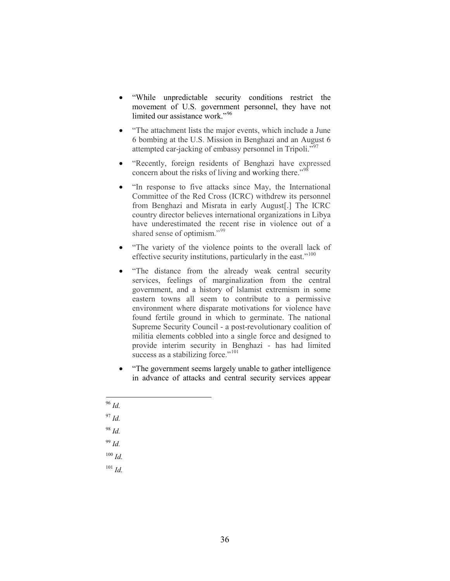- "While unpredictable security conditions restrict the movement of U.S. government personnel, they have not limited our assistance work."<sup>[96](#page-38-0)</sup>
- "The attachment lists the major events, which include a June 6 bombing at the U.S. Mission in Benghazi and an August 6 attempted car-jacking of embassy personnel in Tripoli."<sup>[97](#page-38-1)</sup>
- "Recently, foreign residents of Benghazi have expressed concern about the risks of living and working there."<sup>[98](#page-38-2)</sup>
- "In response to five attacks since May, the International Committee of the Red Cross (ICRC) withdrew its personnel from Benghazi and Misrata in early August[.] The ICRC country director believes international organizations in Libya have underestimated the recent rise in violence out of a shared sense of optimism."<sup>[99](#page-38-3)</sup>
- "The variety of the violence points to the overall lack of effective security institutions, particularly in the east."<sup>[100](#page-38-4)</sup>
- "The distance from the already weak central security services, feelings of marginalization from the central government, and a history of lslamist extremism in some eastern towns all seem to contribute to a permissive environment where disparate motivations for violence have found fertile ground in which to germinate. The national Supreme Security Council - a post-revolutionary coalition of militia elements cobbled into a single force and designed to provide interim security in Benghazi - has had limited success as a stabilizing force."<sup>[101](#page-38-5)</sup>
- "The government seems largely unable to gather intelligence in advance of attacks and central security services appear
- <span id="page-38-5"></span><span id="page-38-4"></span><span id="page-38-3"></span><span id="page-38-2"></span><span id="page-38-1"></span><span id="page-38-0"></span> 96 *Id.* <sup>97</sup> *Id.* <sup>98</sup> *Id.* <sup>99</sup> *Id.* <sup>100</sup> *Id.* <sup>101</sup> *Id.*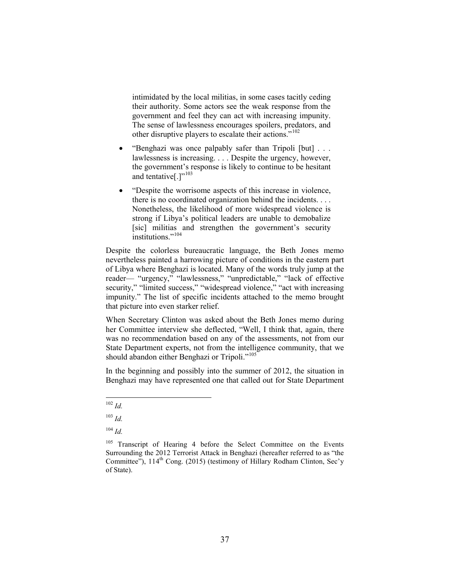intimidated by the local militias, in some cases tacitly ceding their authority. Some actors see the weak response from the government and feel they can act with increasing impunity. The sense of lawlessness encourages spoilers, predators, and other disruptive players to escalate their actions."[102](#page-39-0)

- "Benghazi was once palpably safer than Tripoli [but] . . . lawlessness is increasing. . . . Despite the urgency, however, the government's response is likely to continue to be hesitant and tentative $[.]$ "<sup>[103](#page-39-1)</sup>
- "Despite the worrisome aspects of this increase in violence, there is no coordinated organization behind the incidents. . . . Nonetheless, the likelihood of more widespread violence is strong if Libya's political leaders are unable to demobalize [sic] militias and strengthen the government's security institutions."<sup>[104](#page-39-2)</sup>

Despite the colorless bureaucratic language, the Beth Jones memo nevertheless painted a harrowing picture of conditions in the eastern part of Libya where Benghazi is located. Many of the words truly jump at the reader— "urgency," "lawlessness," "unpredictable," "lack of effective security," "limited success," "widespread violence," "act with increasing impunity." The list of specific incidents attached to the memo brought that picture into even starker relief.

When Secretary Clinton was asked about the Beth Jones memo during her Committee interview she deflected, "Well, I think that, again, there was no recommendation based on any of the assessments, not from our State Department experts, not from the intelligence community, that we should abandon either Benghazi or Tripoli."<sup>[105](#page-39-3)</sup>

In the beginning and possibly into the summer of 2012, the situation in Benghazi may have represented one that called out for State Department

<span id="page-39-0"></span> <sup>102</sup> *Id.*

<span id="page-39-1"></span><sup>103</sup> *Id.*

<sup>104</sup> *Id.*

<span id="page-39-3"></span><span id="page-39-2"></span><sup>&</sup>lt;sup>105</sup> Transcript of Hearing 4 before the Select Committee on the Events Surrounding the 2012 Terrorist Attack in Benghazi (hereafter referred to as "the Committee"),  $114<sup>th</sup>$  Cong. (2015) (testimony of Hillary Rodham Clinton, Sec'y of State).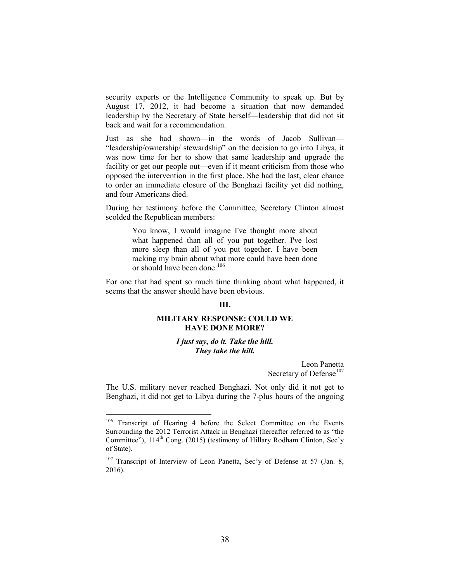security experts or the Intelligence Community to speak up. But by August 17, 2012, it had become a situation that now demanded leadership by the Secretary of State herself—leadership that did not sit back and wait for a recommendation.

Just as she had shown—in the words of Jacob Sullivan— "leadership/ownership/ stewardship" on the decision to go into Libya, it was now time for her to show that same leadership and upgrade the facility or get our people out—even if it meant criticism from those who opposed the intervention in the first place. She had the last, clear chance to order an immediate closure of the Benghazi facility yet did nothing, and four Americans died.

During her testimony before the Committee, Secretary Clinton almost scolded the Republican members:

> You know, I would imagine I've thought more about what happened than all of you put together. I've lost more sleep than all of you put together. I have been racking my brain about what more could have been done or should have been done.<sup>[106](#page-40-0)</sup>

For one that had spent so much time thinking about what happened, it seems that the answer should have been obvious.

# **III.**

# **MILITARY RESPONSE: COULD WE HAVE DONE MORE?**

### *I just say, do it. Take the hill. They take the hill.*

Leon Panetta Secretary of Defense<sup>[107](#page-40-1)</sup>

The U.S. military never reached Benghazi. Not only did it not get to Benghazi, it did not get to Libya during the 7-plus hours of the ongoing

<span id="page-40-0"></span><sup>&</sup>lt;sup>106</sup> Transcript of Hearing 4 before the Select Committee on the Events Surrounding the 2012 Terrorist Attack in Benghazi (hereafter referred to as "the Committee"),  $114<sup>th</sup>$  Cong. (2015) (testimony of Hillary Rodham Clinton, Sec'y of State).

<span id="page-40-1"></span><sup>&</sup>lt;sup>107</sup> Transcript of Interview of Leon Panetta, Sec'y of Defense at 57 (Jan. 8, 2016).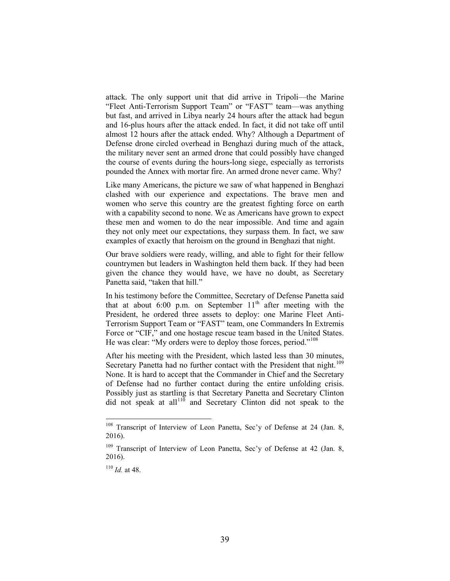attack. The only support unit that did arrive in Tripoli—the Marine "Fleet Anti-Terrorism Support Team" or "FAST" team—was anything but fast, and arrived in Libya nearly 24 hours after the attack had begun and 16-plus hours after the attack ended. In fact, it did not take off until almost 12 hours after the attack ended. Why? Although a Department of Defense drone circled overhead in Benghazi during much of the attack, the military never sent an armed drone that could possibly have changed the course of events during the hours-long siege, especially as terrorists pounded the Annex with mortar fire. An armed drone never came. Why?

Like many Americans, the picture we saw of what happened in Benghazi clashed with our experience and expectations. The brave men and women who serve this country are the greatest fighting force on earth with a capability second to none. We as Americans have grown to expect these men and women to do the near impossible. And time and again they not only meet our expectations, they surpass them. In fact, we saw examples of exactly that heroism on the ground in Benghazi that night.

Our brave soldiers were ready, willing, and able to fight for their fellow countrymen but leaders in Washington held them back. If they had been given the chance they would have, we have no doubt, as Secretary Panetta said, "taken that hill."

In his testimony before the Committee, Secretary of Defense Panetta said that at about 6:00 p.m. on September  $11<sup>th</sup>$  after meeting with the President, he ordered three assets to deploy: one Marine Fleet Anti-Terrorism Support Team or "FAST" team, one Commanders In Extremis Force or "CIF," and one hostage rescue team based in the United States. He was clear: "My orders were to deploy those forces, period."<sup>[108](#page-41-0)</sup>

After his meeting with the President, which lasted less than 30 minutes, Secretary Panetta had no further contact with the President that night.<sup>[109](#page-41-1)</sup> None. It is hard to accept that the Commander in Chief and the Secretary of Defense had no further contact during the entire unfolding crisis. Possibly just as startling is that Secretary Panetta and Secretary Clinton did not speak at all<sup>[110](#page-41-2)</sup> and Secretary Clinton did not speak to the

<span id="page-41-0"></span><sup>&</sup>lt;sup>108</sup> Transcript of Interview of Leon Panetta, Sec'y of Defense at 24 (Jan. 8, 2016).

<span id="page-41-1"></span><sup>&</sup>lt;sup>109</sup> Transcript of Interview of Leon Panetta, Sec'y of Defense at 42 (Jan. 8, 2016).

<span id="page-41-2"></span> $110$  *Id.* at 48.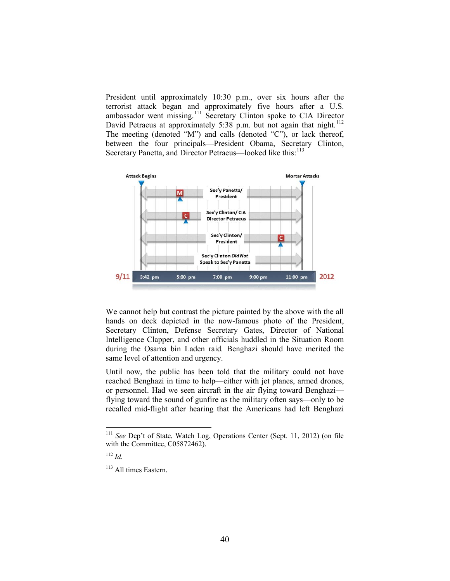President until approximately 10:30 p.m., over six hours after the terrorist attack began and approximately five hours after a U.S. ambassador went missing.<sup>[111](#page-42-0)</sup> Secretary Clinton spoke to CIA Director David Petraeus at approximately 5:38 p.m. but not again that night.<sup>[112](#page-42-1)</sup> The meeting (denoted "M") and calls (denoted "C"), or lack thereof, between the four principals—President Obama, Secretary Clinton, Secretary Panetta, and Director Petraeus—looked like this:<sup>[113](#page-42-2)</sup>



We cannot help but contrast the picture painted by the above with the all hands on deck depicted in the now-famous photo of the President, Secretary Clinton, Defense Secretary Gates, Director of National Intelligence Clapper, and other officials huddled in the Situation Room during the Osama bin Laden raid*.* Benghazi should have merited the same level of attention and urgency.

Until now, the public has been told that the military could not have reached Benghazi in time to help—either with jet planes, armed drones, or personnel. Had we seen aircraft in the air flying toward Benghazi flying toward the sound of gunfire as the military often says—only to be recalled mid-flight after hearing that the Americans had left Benghazi

<span id="page-42-0"></span> <sup>111</sup> *See* Dep't of State, Watch Log, Operations Center (Sept. 11, 2012) (on file with the Committee, C05872462).

<span id="page-42-1"></span><sup>112</sup> *Id.*

<span id="page-42-2"></span><sup>&</sup>lt;sup>113</sup> All times Eastern.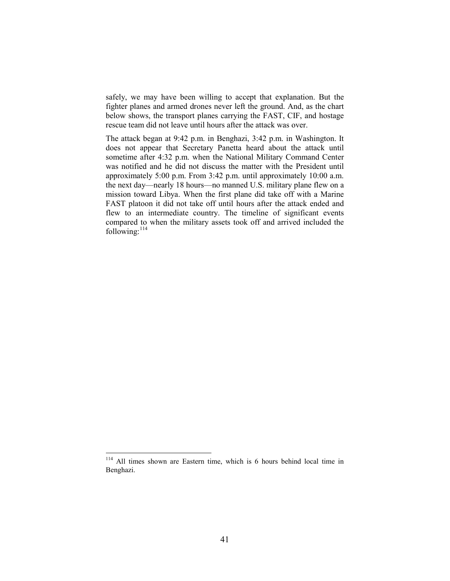safely, we may have been willing to accept that explanation. But the fighter planes and armed drones never left the ground. And, as the chart below shows, the transport planes carrying the FAST, CIF, and hostage rescue team did not leave until hours after the attack was over.

The attack began at 9:42 p.m. in Benghazi, 3:42 p.m. in Washington. It does not appear that Secretary Panetta heard about the attack until sometime after 4:32 p.m. when the National Military Command Center was notified and he did not discuss the matter with the President until approximately 5:00 p.m. From 3:42 p.m. until approximately 10:00 a.m. the next day—nearly 18 hours—no manned U.S. military plane flew on a mission toward Libya. When the first plane did take off with a Marine FAST platoon it did not take off until hours after the attack ended and flew to an intermediate country. The timeline of significant events compared to when the military assets took off and arrived included the following: $114$ 

<span id="page-43-0"></span> <sup>114</sup> All times shown are Eastern time, which is 6 hours behind local time in Benghazi.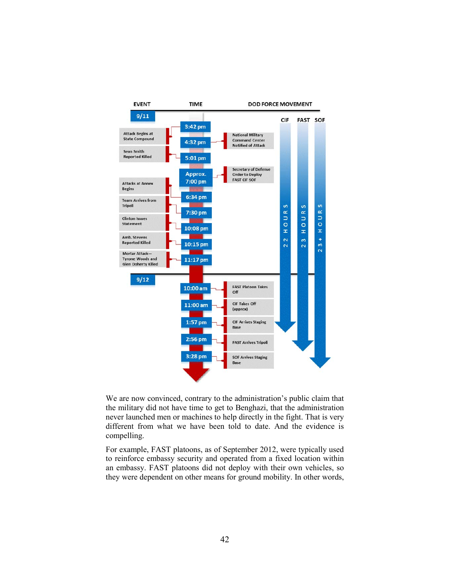

We are now convinced, contrary to the administration's public claim that the military did not have time to get to Benghazi, that the administration never launched men or machines to help directly in the fight. That is very different from what we have been told to date. And the evidence is compelling.

For example, FAST platoons, as of September 2012, were typically used to reinforce embassy security and operated from a fixed location within an embassy. FAST platoons did not deploy with their own vehicles, so they were dependent on other means for ground mobility. In other words,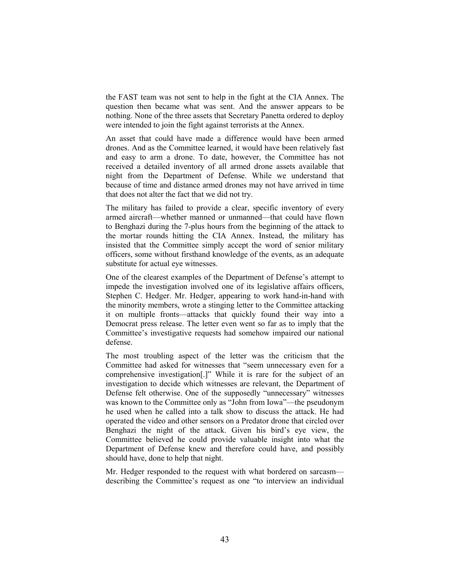the FAST team was not sent to help in the fight at the CIA Annex. The question then became what was sent. And the answer appears to be nothing. None of the three assets that Secretary Panetta ordered to deploy were intended to join the fight against terrorists at the Annex.

An asset that could have made a difference would have been armed drones. And as the Committee learned, it would have been relatively fast and easy to arm a drone. To date, however, the Committee has not received a detailed inventory of all armed drone assets available that night from the Department of Defense. While we understand that because of time and distance armed drones may not have arrived in time that does not alter the fact that we did not try.

The military has failed to provide a clear, specific inventory of every armed aircraft—whether manned or unmanned—that could have flown to Benghazi during the 7-plus hours from the beginning of the attack to the mortar rounds hitting the CIA Annex. Instead, the military has insisted that the Committee simply accept the word of senior military officers, some without firsthand knowledge of the events, as an adequate substitute for actual eye witnesses.

One of the clearest examples of the Department of Defense's attempt to impede the investigation involved one of its legislative affairs officers, Stephen C. Hedger. Mr. Hedger, appearing to work hand-in-hand with the minority members, wrote a stinging letter to the Committee attacking it on multiple fronts—attacks that quickly found their way into a Democrat press release. The letter even went so far as to imply that the Committee's investigative requests had somehow impaired our national defense.

The most troubling aspect of the letter was the criticism that the Committee had asked for witnesses that "seem unnecessary even for a comprehensive investigation[.]" While it is rare for the subject of an investigation to decide which witnesses are relevant, the Department of Defense felt otherwise. One of the supposedly "unnecessary" witnesses was known to the Committee only as "John from Iowa"—the pseudonym he used when he called into a talk show to discuss the attack. He had operated the video and other sensors on a Predator drone that circled over Benghazi the night of the attack. Given his bird's eye view, the Committee believed he could provide valuable insight into what the Department of Defense knew and therefore could have, and possibly should have, done to help that night.

Mr. Hedger responded to the request with what bordered on sarcasm describing the Committee's request as one "to interview an individual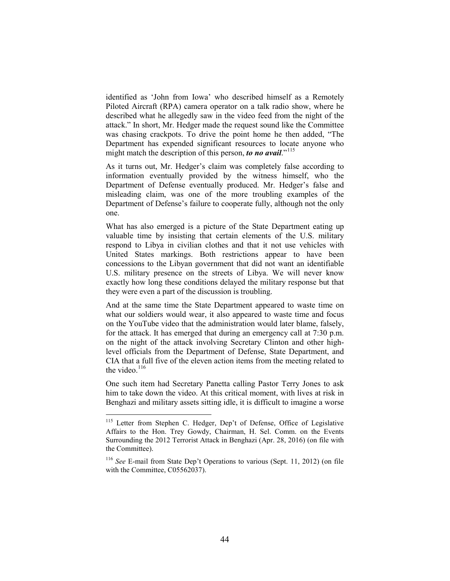identified as 'John from Iowa' who described himself as a Remotely Piloted Aircraft (RPA) camera operator on a talk radio show, where he described what he allegedly saw in the video feed from the night of the attack." In short, Mr. Hedger made the request sound like the Committee was chasing crackpots. To drive the point home he then added, "The Department has expended significant resources to locate anyone who might match the description of this person, *to no avail*."<sup>[115](#page-46-0)</sup>

As it turns out, Mr. Hedger's claim was completely false according to information eventually provided by the witness himself, who the Department of Defense eventually produced. Mr. Hedger's false and misleading claim, was one of the more troubling examples of the Department of Defense's failure to cooperate fully, although not the only one.

What has also emerged is a picture of the State Department eating up valuable time by insisting that certain elements of the U.S. military respond to Libya in civilian clothes and that it not use vehicles with United States markings. Both restrictions appear to have been concessions to the Libyan government that did not want an identifiable U.S. military presence on the streets of Libya. We will never know exactly how long these conditions delayed the military response but that they were even a part of the discussion is troubling.

And at the same time the State Department appeared to waste time on what our soldiers would wear, it also appeared to waste time and focus on the YouTube video that the administration would later blame, falsely, for the attack. It has emerged that during an emergency call at 7:30 p.m. on the night of the attack involving Secretary Clinton and other highlevel officials from the Department of Defense, State Department, and CIA that a full five of the eleven action items from the meeting related to the video.<sup>[116](#page-46-1)</sup>

One such item had Secretary Panetta calling Pastor Terry Jones to ask him to take down the video. At this critical moment, with lives at risk in Benghazi and military assets sitting idle, it is difficult to imagine a worse

<span id="page-46-0"></span><sup>&</sup>lt;sup>115</sup> Letter from Stephen C. Hedger, Dep't of Defense, Office of Legislative Affairs to the Hon. Trey Gowdy, Chairman, H. Sel. Comm. on the Events Surrounding the 2012 Terrorist Attack in Benghazi (Apr. 28, 2016) (on file with the Committee).

<span id="page-46-1"></span><sup>116</sup> *See* E-mail from State Dep't Operations to various (Sept. 11, 2012) (on file with the Committee, C05562037).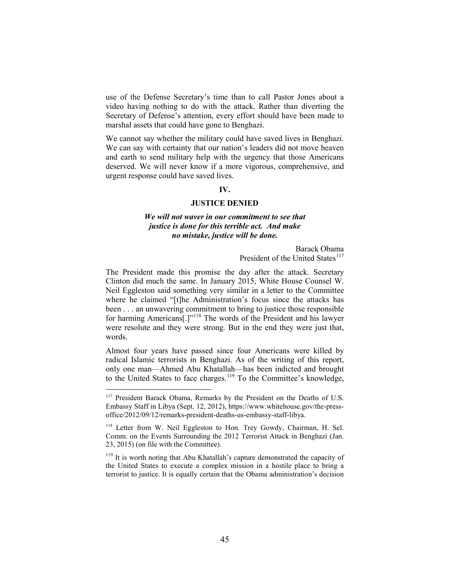use of the Defense Secretary's time than to call Pastor Jones about a video having nothing to do with the attack. Rather than diverting the Secretary of Defense's attention, every effort should have been made to marshal assets that could have gone to Benghazi.

We cannot say whether the military could have saved lives in Benghazi. We can say with certainty that our nation's leaders did not move heaven and earth to send military help with the urgency that those Americans deserved. We will never know if a more vigorous, comprehensive, and urgent response could have saved lives.

### **IV.**

#### **JUSTICE DENIED**

# *We will not waver in our commitment to see that justice is done for this terrible act. And make no mistake, justice will be done.*

Barack Obama President of the United States<sup>[117](#page-47-0)</sup>

The President made this promise the day after the attack. Secretary Clinton did much the same. In January 2015, White House Counsel W. Neil Eggleston said something very similar in a letter to the Committee where he claimed "[t]he Administration's focus since the attacks has been . . . an unwavering commitment to bring to justice those responsible for harming Americans[.]"[118](#page-47-1) The words of the President and his lawyer were resolute and they were strong. But in the end they were just that, words.

Almost four years have passed since four Americans were killed by radical Islamic terrorists in Benghazi. As of the writing of this report, only one man—Ahmed Abu Khatallah—has been indicted and brought to the United States to face charges. [119](#page-47-2) To the Committee's knowledge,

<span id="page-47-2"></span><sup>119</sup> It is worth noting that Abu Khatallah's capture demonstrated the capacity of the United States to execute a complex mission in a hostile place to bring a terrorist to justice. It is equally certain that the Obama administration's decision

<span id="page-47-0"></span><sup>&</sup>lt;sup>117</sup> President Barack Obama, Remarks by the President on the Deaths of U.S. Embassy Staff in Libya (Sept. 12, 2012), https://www.whitehouse.gov/the-pressoffice/2012/09/12/remarks-president-deaths-us-embassy-staff-libya.

<span id="page-47-1"></span><sup>118</sup> Letter from W. Neil Eggleston to Hon*.* Trey Gowdy, Chairman, H. Sel. Comm. on the Events Surrounding the 2012 Terrorist Attack in Benghazi (Jan. 23, 2015) (on file with the Committee).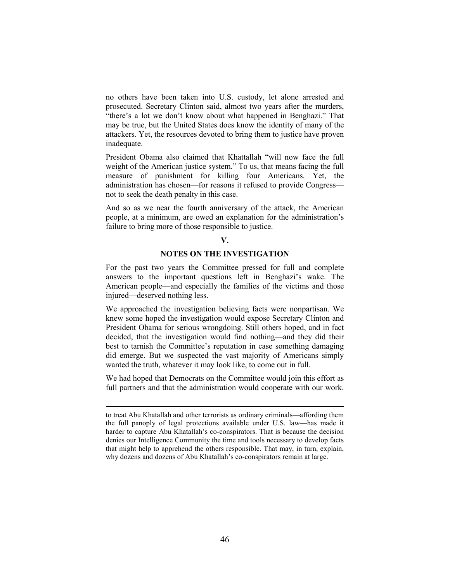no others have been taken into U.S. custody, let alone arrested and prosecuted. Secretary Clinton said, almost two years after the murders, "there's a lot we don't know about what happened in Benghazi." That may be true, but the United States does know the identity of many of the attackers. Yet, the resources devoted to bring them to justice have proven inadequate.

President Obama also claimed that Khattallah "will now face the full weight of the American justice system." To us, that means facing the full measure of punishment for killing four Americans. Yet, the administration has chosen—for reasons it refused to provide Congress not to seek the death penalty in this case.

And so as we near the fourth anniversary of the attack, the American people, at a minimum, are owed an explanation for the administration's failure to bring more of those responsible to justice.

#### **V.**

# **NOTES ON THE INVESTIGATION**

For the past two years the Committee pressed for full and complete answers to the important questions left in Benghazi's wake. The American people—and especially the families of the victims and those injured—deserved nothing less.

We approached the investigation believing facts were nonpartisan. We knew some hoped the investigation would expose Secretary Clinton and President Obama for serious wrongdoing. Still others hoped, and in fact decided, that the investigation would find nothing—and they did their best to tarnish the Committee's reputation in case something damaging did emerge. But we suspected the vast majority of Americans simply wanted the truth, whatever it may look like, to come out in full.

We had hoped that Democrats on the Committee would join this effort as full partners and that the administration would cooperate with our work.

 $\overline{a}$ 

to treat Abu Khatallah and other terrorists as ordinary criminals—affording them the full panoply of legal protections available under U.S. law—has made it harder to capture Abu Khatallah's co-conspirators. That is because the decision denies our Intelligence Community the time and tools necessary to develop facts that might help to apprehend the others responsible. That may, in turn, explain, why dozens and dozens of Abu Khatallah's co-conspirators remain at large.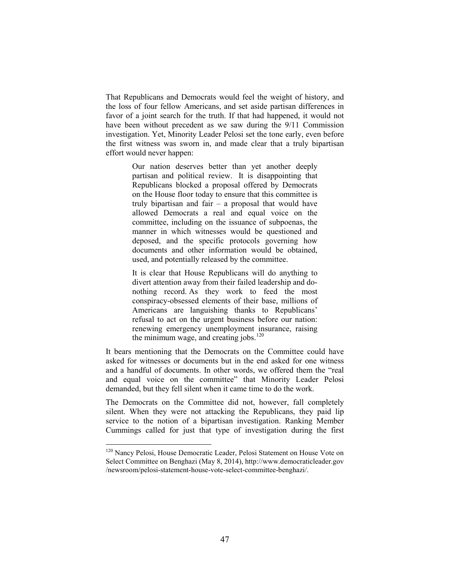That Republicans and Democrats would feel the weight of history, and the loss of four fellow Americans, and set aside partisan differences in favor of a joint search for the truth. If that had happened, it would not have been without precedent as we saw during the 9/11 Commission investigation. Yet, Minority Leader Pelosi set the tone early, even before the first witness was sworn in, and made clear that a truly bipartisan effort would never happen:

> Our nation deserves better than yet another deeply partisan and political review. It is disappointing that Republicans blocked a proposal offered by Democrats on the House floor today to ensure that this committee is truly bipartisan and fair – a proposal that would have allowed Democrats a real and equal voice on the committee, including on the issuance of subpoenas, the manner in which witnesses would be questioned and deposed, and the specific protocols governing how documents and other information would be obtained, used, and potentially released by the committee.

> It is clear that House Republicans will do anything to divert attention away from their failed leadership and donothing record. As they work to feed the most conspiracy-obsessed elements of their base, millions of Americans are languishing thanks to Republicans' refusal to act on the urgent business before our nation: renewing emergency unemployment insurance, raising the minimum wage, and creating jobs. $120$

It bears mentioning that the Democrats on the Committee could have asked for witnesses or documents but in the end asked for one witness and a handful of documents. In other words, we offered them the "real and equal voice on the committee" that Minority Leader Pelosi demanded, but they fell silent when it came time to do the work.

The Democrats on the Committee did not, however, fall completely silent. When they were not attacking the Republicans, they paid lip service to the notion of a bipartisan investigation. Ranking Member Cummings called for just that type of investigation during the first

<span id="page-49-0"></span><sup>&</sup>lt;sup>120</sup> Nancy Pelosi, House Democratic Leader, Pelosi Statement on House Vote on Select Committee on Benghazi (May 8, 2014), http://www.democraticleader.gov /newsroom/pelosi-statement-house-vote-select-committee-benghazi/.